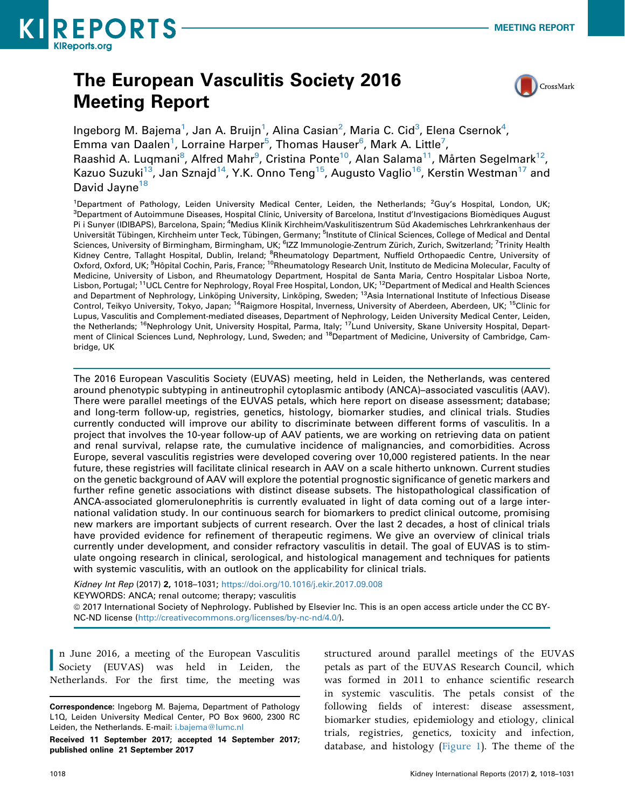

# The European Vasculitis Society 2016 Meeting Report



Ingeborg M. Bajema<sup>1</sup>, Jan A. Bruijn<sup>1</sup>, Alina Casian<sup>2</sup>, Maria C. Cid<sup>3</sup>, Elena Csernok<sup>4</sup>, Emma van Daalen $^1$ , Lorraine Harper $^5$ , Thomas Hauser $^6$ , Mark A. Little $^7$ , Raashid A. Luqmani<sup>8</sup>, Alfred Mahr<sup>9</sup>, Cristina Ponte<sup>10</sup>, Alan Salama<sup>11</sup>, Mårten Segelmark<sup>12</sup>, Kazuo Suzuki<sup>13</sup>, Jan Sznajd<sup>14</sup>, Y.K. Onno Teng<sup>15</sup>, Augusto Vaglio<sup>16</sup>, Kerstin Westman<sup>17</sup> and David Javne<sup>18</sup>

<sup>1</sup>Department of Pathology, Leiden University Medical Center, Leiden, the Netherlands; <sup>2</sup>Guy's Hospital, London, UK;<br><sup>3</sup>Department of Autoimmune Diseases Hospital Clínic University of Barcelona Institut d'Investigacions B Department of Autoimmune Diseases, Hospital Clínic, University of Barcelona, Institut d'Investigacions Biomèdiques August Pi i Sunyer (IDIBAPS), Barcelona, Spain; <sup>4</sup>Medius Klinik Kirchheim/Vaskulitiszentrum Süd Akademisches Lehrkrankenhaus der Universität Tübingen, Kirchheim unter Teck, Tübingen, Germany; <sup>5</sup>Institute of Clinical Sciences, College of Medical and Dental Sciences, University of Birmingham, Birmingham, UK; <sup>6</sup>lZZ Immunologie-Zentrum Zürich, Zurich, Switzerland; <sup>7</sup>Trinity Health Kidney Centre, Tallaght Hospital, Dublin, Ireland; <sup>8</sup>Rheumatology Department, Nuffield Orthopaedic Centre, University of Oxford, Oxford, UK; <sup>9</sup>Hôpital Cochin, Paris, France; <sup>10</sup>Rheumatology Research Unit, Instituto de Medicina Molecular, Faculty of Medicine, University of Lisbon, and Rheumatology Department, Hospital de Santa Maria, Centro Hospitalar Lisboa Norte, Lisbon, Portugal; <sup>11</sup>UCL Centre for Nephrology, Royal Free Hospital, London, UK; <sup>12</sup>Department of Medical and Health Sciences and Department of Nephrology, Linköping University, Linköping, Sweden; <sup>13</sup>Asia International Institute of Infectious Disease Control, Teikyo University, Tokyo, Japan; 14Raigmore Hospital, Inverness, University of Aberdeen, Aberdeen, UK; 15Clinic for Lupus, Vasculitis and Complement-mediated diseases, Department of Nephrology, Leiden University Medical Center, Leiden, the Netherlands; <sup>16</sup>Nephrology Unit, University Hospital, Parma, Italy; <sup>17</sup>Lund University, Skane University Hospital, Department of Clinical Sciences Lund, Nephrology, Lund, Sweden; and <sup>18</sup>Department of Medicine, University of Cambridge, Cambridge, UK

The 2016 European Vasculitis Society (EUVAS) meeting, held in Leiden, the Netherlands, was centered around phenotypic subtyping in antineutrophil cytoplasmic antibody (ANCA)–associated vasculitis (AAV). There were parallel meetings of the EUVAS petals, which here report on disease assessment; database; and long-term follow-up, registries, genetics, histology, biomarker studies, and clinical trials. Studies currently conducted will improve our ability to discriminate between different forms of vasculitis. In a project that involves the 10-year follow-up of AAV patients, we are working on retrieving data on patient and renal survival, relapse rate, the cumulative incidence of malignancies, and comorbidities. Across Europe, several vasculitis registries were developed covering over 10,000 registered patients. In the near future, these registries will facilitate clinical research in AAV on a scale hitherto unknown. Current studies on the genetic background of AAV will explore the potential prognostic significance of genetic markers and further refine genetic associations with distinct disease subsets. The histopathological classification of ANCA-associated glomerulonephritis is currently evaluated in light of data coming out of a large international validation study. In our continuous search for biomarkers to predict clinical outcome, promising new markers are important subjects of current research. Over the last 2 decades, a host of clinical trials have provided evidence for refinement of therapeutic regimens. We give an overview of clinical trials currently under development, and consider refractory vasculitis in detail. The goal of EUVAS is to stimulate ongoing research in clinical, serological, and histological management and techniques for patients with systemic vasculitis, with an outlook on the applicability for clinical trials.

Kidney Int Rep (2017) 2, 1018–1031; <https://doi.org/10.1016/j.ekir.2017.09.008> KEYWORDS: ANCA; renal outcome; therapy; vasculitis ª 2017 International Society of Nephrology. Published by Elsevier Inc. This is an open access article under the CC BY-NC-ND license [\(http://creativecommons.org/licenses/by-nc-nd/4.0/](http://creativecommons.org/licenses/by-nc-nd/4.0/)).

I n June 2016, a meeting of the European Vasculitis Society (EUVAS) was held in Leiden, the Netherlands. For the first time, the meeting was

structured around parallel meetings of the EUVAS petals as part of the EUVAS Research Council, which was formed in 2011 to enhance scientific research in systemic vasculitis. The petals consist of the following fields of interest: disease assessment, biomarker studies, epidemiology and etiology, clinical trials, registries, genetics, toxicity and infection, database, and histology [\(Figure 1](#page-1-0)). The theme of the

Correspondence: Ingeborg M. Bajema, Department of Pathology L1Q, Leiden University Medical Center, PO Box 9600, 2300 RC Leiden, the Netherlands. E-mail: [i.bajema@lumc.nl](mailto:i.bajema@lumc.nl)

Received 11 September 2017; accepted 14 September 2017; published online 21 September 2017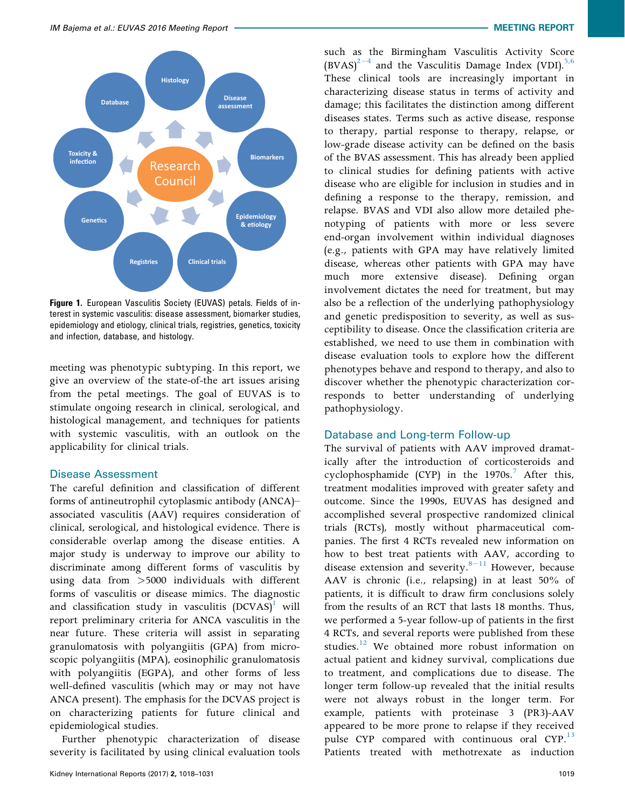<span id="page-1-0"></span>

Figure 1. European Vasculitis Society (EUVAS) petals. Fields of interest in systemic vasculitis: disease assessment, biomarker studies, epidemiology and etiology, clinical trials, registries, genetics, toxicity and infection, database, and histology.

meeting was phenotypic subtyping. In this report, we give an overview of the state-of-the art issues arising from the petal meetings. The goal of EUVAS is to stimulate ongoing research in clinical, serological, and histological management, and techniques for patients with systemic vasculitis, with an outlook on the applicability for clinical trials.

#### Disease Assessment

The careful definition and classification of different forms of antineutrophil cytoplasmic antibody (ANCA)– associated vasculitis (AAV) requires consideration of clinical, serological, and histological evidence. There is considerable overlap among the disease entities. A major study is underway to improve our ability to discriminate among different forms of vasculitis by using data from >5000 individuals with different forms of vasculitis or disease mimics. The diagnostic and classification study in vasculitis  $(DCVAS)^{1}$  $(DCVAS)^{1}$  $(DCVAS)^{1}$  will report preliminary criteria for ANCA vasculitis in the near future. These criteria will assist in separating granulomatosis with polyangiitis (GPA) from microscopic polyangiitis (MPA), eosinophilic granulomatosis with polyangiitis (EGPA), and other forms of less well-defined vasculitis (which may or may not have ANCA present). The emphasis for the DCVAS project is on characterizing patients for future clinical and epidemiological studies.

Further phenotypic characterization of disease severity is facilitated by using clinical evaluation tools such as the Birmingham Vasculitis Activity Score  $(BVAS)^{2-4}$  $(BVAS)^{2-4}$  $(BVAS)^{2-4}$  $(BVAS)^{2-4}$  $(BVAS)^{2-4}$  and the Vasculitis Damage Index (VDI).<sup>[5,6](#page-10-0)</sup> These clinical tools are increasingly important in characterizing disease status in terms of activity and damage; this facilitates the distinction among different diseases states. Terms such as active disease, response to therapy, partial response to therapy, relapse, or low-grade disease activity can be defined on the basis of the BVAS assessment. This has already been applied to clinical studies for defining patients with active disease who are eligible for inclusion in studies and in defining a response to the therapy, remission, and relapse. BVAS and VDI also allow more detailed phenotyping of patients with more or less severe end-organ involvement within individual diagnoses (e.g., patients with GPA may have relatively limited disease, whereas other patients with GPA may have much more extensive disease). Defining organ involvement dictates the need for treatment, but may also be a reflection of the underlying pathophysiology and genetic predisposition to severity, as well as susceptibility to disease. Once the classification criteria are established, we need to use them in combination with disease evaluation tools to explore how the different phenotypes behave and respond to therapy, and also to discover whether the phenotypic characterization corresponds to better understanding of underlying pathophysiology.

#### Database and Long-term Follow-up

The survival of patients with AAV improved dramatically after the introduction of corticosteroids and cyclophosphamide (CYP) in the  $1970s$ . After this, treatment modalities improved with greater safety and outcome. Since the 1990s, EUVAS has designed and accomplished several prospective randomized clinical trials (RCTs), mostly without pharmaceutical companies. The first 4 RCTs revealed new information on how to best treat patients with AAV, according to disease extension and severity. $8-11$  $8-11$  However, because AAV is chronic (i.e., relapsing) in at least 50% of patients, it is difficult to draw firm conclusions solely from the results of an RCT that lasts 18 months. Thus, we performed a 5-year follow-up of patients in the first 4 RCTs, and several reports were published from these studies.<sup>[12](#page-10-0)</sup> We obtained more robust information on actual patient and kidney survival, complications due to treatment, and complications due to disease. The longer term follow-up revealed that the initial results were not always robust in the longer term. For example, patients with proteinase 3 (PR3)-AAV appeared to be more prone to relapse if they received pulse CYP compared with continuous oral CYP.<sup>13</sup> Patients treated with methotrexate as induction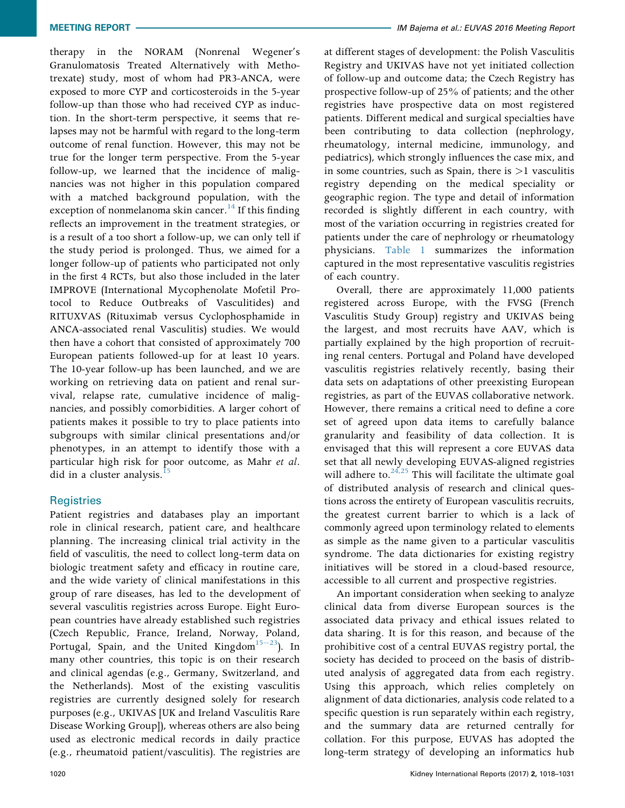therapy in the NORAM (Nonrenal Wegener's Granulomatosis Treated Alternatively with Methotrexate) study, most of whom had PR3-ANCA, were exposed to more CYP and corticosteroids in the 5-year follow-up than those who had received CYP as induction. In the short-term perspective, it seems that relapses may not be harmful with regard to the long-term outcome of renal function. However, this may not be true for the longer term perspective. From the 5-year follow-up, we learned that the incidence of malignancies was not higher in this population compared with a matched background population, with the exception of nonmelanoma skin cancer.<sup>[14](#page-10-0)</sup> If this finding reflects an improvement in the treatment strategies, or is a result of a too short a follow-up, we can only tell if the study period is prolonged. Thus, we aimed for a longer follow-up of patients who participated not only in the first 4 RCTs, but also those included in the later IMPROVE (International Mycophenolate Mofetil Protocol to Reduce Outbreaks of Vasculitides) and RITUXVAS (Rituximab versus Cyclophosphamide in ANCA-associated renal Vasculitis) studies. We would then have a cohort that consisted of approximately 700 European patients followed-up for at least 10 years. The 10-year follow-up has been launched, and we are working on retrieving data on patient and renal survival, relapse rate, cumulative incidence of malignancies, and possibly comorbidities. A larger cohort of patients makes it possible to try to place patients into subgroups with similar clinical presentations and/or phenotypes, in an attempt to identify those with a particular high risk for poor outcome, as Mahr et al. did in a cluster analysis. $<sup>1</sup>$ </sup>

# **Registries**

Patient registries and databases play an important role in clinical research, patient care, and healthcare planning. The increasing clinical trial activity in the field of vasculitis, the need to collect long-term data on biologic treatment safety and efficacy in routine care, and the wide variety of clinical manifestations in this group of rare diseases, has led to the development of several vasculitis registries across Europe. Eight European countries have already established such registries (Czech Republic, France, Ireland, Norway, Poland, Portugal, Spain, and the United Kingdom<sup>15-23</sup>). In many other countries, this topic is on their research and clinical agendas (e.g., Germany, Switzerland, and the Netherlands). Most of the existing vasculitis registries are currently designed solely for research purposes (e.g., UKIVAS [UK and Ireland Vasculitis Rare Disease Working Group]), whereas others are also being used as electronic medical records in daily practice (e.g., rheumatoid patient/vasculitis). The registries are

at different stages of development: the Polish Vasculitis Registry and UKIVAS have not yet initiated collection of follow-up and outcome data; the Czech Registry has prospective follow-up of 25% of patients; and the other registries have prospective data on most registered patients. Different medical and surgical specialties have been contributing to data collection (nephrology, rheumatology, internal medicine, immunology, and pediatrics), which strongly influences the case mix, and in some countries, such as Spain, there is  $>1$  vasculitis registry depending on the medical speciality or geographic region. The type and detail of information recorded is slightly different in each country, with most of the variation occurring in registries created for patients under the care of nephrology or rheumatology physicians. [Table 1](#page-3-0) summarizes the information captured in the most representative vasculitis registries of each country.

Overall, there are approximately 11,000 patients registered across Europe, with the FVSG (French Vasculitis Study Group) registry and UKIVAS being the largest, and most recruits have AAV, which is partially explained by the high proportion of recruiting renal centers. Portugal and Poland have developed vasculitis registries relatively recently, basing their data sets on adaptations of other preexisting European registries, as part of the EUVAS collaborative network. However, there remains a critical need to define a core set of agreed upon data items to carefully balance granularity and feasibility of data collection. It is envisaged that this will represent a core EUVAS data set that all newly developing EUVAS-aligned registries will adhere to. $24,25$  This will facilitate the ultimate goal of distributed analysis of research and clinical questions across the entirety of European vasculitis recruits, the greatest current barrier to which is a lack of commonly agreed upon terminology related to elements as simple as the name given to a particular vasculitis syndrome. The data dictionaries for existing registry initiatives will be stored in a cloud-based resource, accessible to all current and prospective registries.

An important consideration when seeking to analyze clinical data from diverse European sources is the associated data privacy and ethical issues related to data sharing. It is for this reason, and because of the prohibitive cost of a central EUVAS registry portal, the society has decided to proceed on the basis of distributed analysis of aggregated data from each registry. Using this approach, which relies completely on alignment of data dictionaries, analysis code related to a specific question is run separately within each registry, and the summary data are returned centrally for collation. For this purpose, EUVAS has adopted the long-term strategy of developing an informatics hub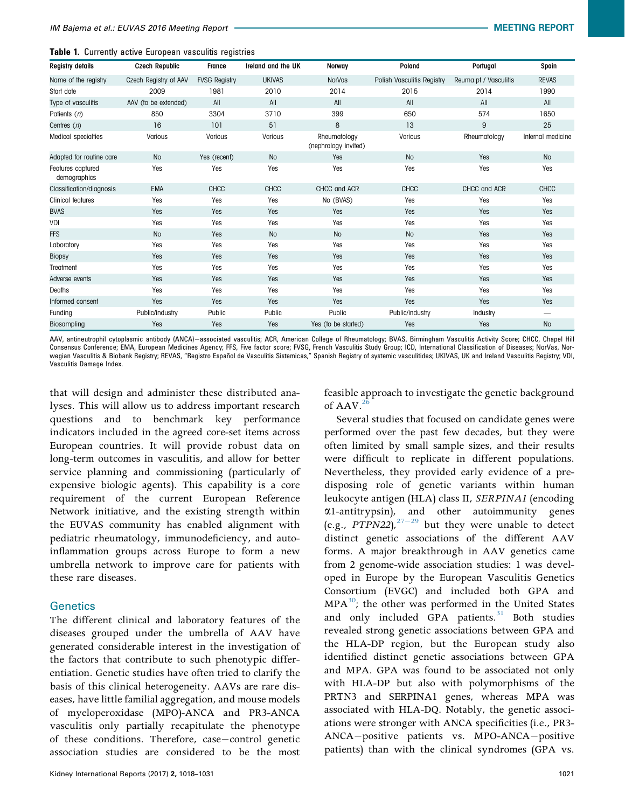<span id="page-3-0"></span>Table 1. Currently active European vasculitis registries

| <b>Registry details</b>           | <b>Czech Republic</b> | <b>France</b>        | Ireland and the UK | Norway                               | Poland                     | Portugal              | Spain             |
|-----------------------------------|-----------------------|----------------------|--------------------|--------------------------------------|----------------------------|-----------------------|-------------------|
| Name of the registry              | Czech Registry of AAV | <b>FVSG Registry</b> | <b>UKIVAS</b>      | <b>NorVas</b>                        | Polish Vasculitis Registry | Reuma.pt / Vasculitis | <b>REVAS</b>      |
| Start date                        | 2009                  | 1981                 | 2010               | 2014                                 | 2015                       | 2014                  | 1990              |
| Type of vasculitis                | AAV (to be extended)  | All                  | All                | All                                  | All                        | All                   | All               |
| Patients (n)                      | 850                   | 3304                 | 3710               | 399                                  | 650                        | 574                   | 1650              |
| Centres $(n)$                     | 16                    | 101                  | 51                 | 8                                    | 13                         | 9                     | 25                |
| <b>Medical specialties</b>        | Various               | Various              | Various            | Rheumatology<br>(nephrology invited) | Various                    | Rheumatology          | Internal medicine |
| Adapted for routine care          | <b>No</b>             | Yes (recent)         | <b>No</b>          | Yes                                  | <b>No</b>                  | Yes                   | <b>No</b>         |
| Features captured<br>demographics | Yes                   | Yes                  | Yes                | Yes                                  | Yes                        | Yes                   | Yes               |
| Classification/diagnosis          | <b>EMA</b>            | <b>CHCC</b>          | <b>CHCC</b>        | CHCC and ACR                         | <b>CHCC</b>                | CHCC and ACR          | <b>CHCC</b>       |
| <b>Clinical features</b>          | Yes                   | Yes                  | Yes                | No (BVAS)                            | Yes                        | Yes                   | Yes               |
| <b>BVAS</b>                       | Yes                   | Yes                  | Yes                | Yes                                  | Yes                        | Yes                   | Yes               |
| VDI                               | Yes                   | Yes                  | Yes                | Yes                                  | Yes                        | Yes                   | Yes               |
| <b>FFS</b>                        | <b>No</b>             | Yes                  | <b>No</b>          | <b>No</b>                            | <b>No</b>                  | Yes                   | Yes               |
| Laboratory                        | Yes                   | Yes                  | Yes                | Yes                                  | Yes                        | Yes                   | Yes               |
| Biopsy                            | Yes                   | Yes                  | Yes                | Yes                                  | Yes                        | Yes                   | Yes               |
| Treatment                         | Yes                   | Yes                  | Yes                | Yes                                  | Yes                        | Yes                   | Yes               |
| Adverse events                    | Yes                   | Yes                  | Yes                | Yes                                  | Yes                        | Yes                   | Yes               |
| Deaths                            | Yes                   | Yes                  | Yes                | Yes                                  | Yes                        | Yes                   | Yes               |
| Informed consent                  | Yes                   | Yes                  | Yes                | Yes                                  | Yes                        | Yes                   | Yes               |
| Funding                           | Public/industry       | Public               | Public             | Public                               | Public/industry            | Industry              | -                 |
| Biosampling                       | Yes                   | Yes                  | Yes                | Yes (to be started)                  | Yes                        | Yes                   | <b>No</b>         |

AAV, antineutrophil cytoplasmic antibody (ANCA)-associated vasculitis; ACR, American College of Rheumatology; BVAS, Birmingham Vasculitis Activity Score; CHCC, Chapel Hill Consensus Conference; EMA, European Medicines Agency; FFS, Five factor score; FVSG, French Vasculitis Study Group; ICD, International Classification of Diseases; NorVas, Nor-<br>wegian Vasculitis & Biobank Registry; REVAS, "R Vasculitis Damage Index.

that will design and administer these distributed analyses. This will allow us to address important research questions and to benchmark key performance indicators included in the agreed core-set items across European countries. It will provide robust data on long-term outcomes in vasculitis, and allow for better service planning and commissioning (particularly of expensive biologic agents). This capability is a core requirement of the current European Reference Network initiative, and the existing strength within the EUVAS community has enabled alignment with pediatric rheumatology, immunodeficiency, and autoinflammation groups across Europe to form a new umbrella network to improve care for patients with these rare diseases.

## **Genetics**

The different clinical and laboratory features of the diseases grouped under the umbrella of AAV have generated considerable interest in the investigation of the factors that contribute to such phenotypic differentiation. Genetic studies have often tried to clarify the basis of this clinical heterogeneity. AAVs are rare diseases, have little familial aggregation, and mouse models of myeloperoxidase (MPO)-ANCA and PR3-ANCA vasculitis only partially recapitulate the phenotype of these conditions. Therefore, case-control genetic association studies are considered to be the most

feasible approach to investigate the genetic background of AAV.<sup>2</sup>

Several studies that focused on candidate genes were performed over the past few decades, but they were often limited by small sample sizes, and their results were difficult to replicate in different populations. Nevertheless, they provided early evidence of a predisposing role of genetic variants within human leukocyte antigen (HLA) class II, SERPINA1 (encoding  $\alpha$ 1-antitrypsin), and other autoimmunity genes (e.g., PTPN22), $^{27-29}$  $^{27-29}$  $^{27-29}$  $^{27-29}$  $^{27-29}$  but they were unable to detect distinct genetic associations of the different AAV forms. A major breakthrough in AAV genetics came from 2 genome-wide association studies: 1 was developed in Europe by the European Vasculitis Genetics Consortium (EVGC) and included both GPA and  $MPA<sup>30</sup>$ ; the other was performed in the United States and only included GPA patients.<sup>31</sup> Both studies revealed strong genetic associations between GPA and the HLA-DP region, but the European study also identified distinct genetic associations between GPA and MPA. GPA was found to be associated not only with HLA-DP but also with polymorphisms of the PRTN3 and SERPINA1 genes, whereas MPA was associated with HLA-DQ. Notably, the genetic associations were stronger with ANCA specificities (i.e., PR3- ANCA-positive patients vs. MPO-ANCA-positive patients) than with the clinical syndromes (GPA vs.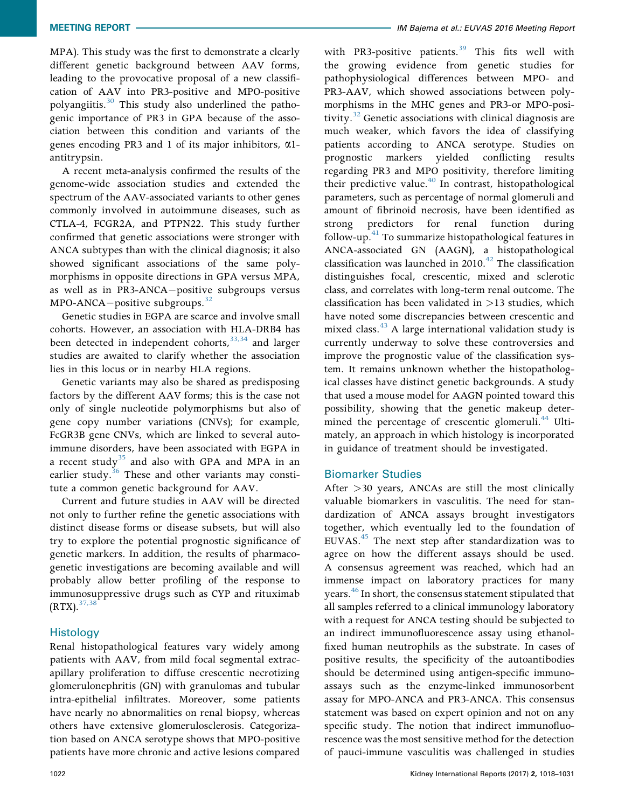MPA). This study was the first to demonstrate a clearly different genetic background between AAV forms, leading to the provocative proposal of a new classification of AAV into PR3-positive and MPO-positive polyangiitis.<sup>[30](#page-11-0)</sup> This study also underlined the pathogenic importance of PR3 in GPA because of the association between this condition and variants of the genes encoding PR3 and 1 of its major inhibitors, <sup>a</sup>1 antitrypsin.

A recent meta-analysis confirmed the results of the genome-wide association studies and extended the spectrum of the AAV-associated variants to other genes commonly involved in autoimmune diseases, such as CTLA-4, FCGR2A, and PTPN22. This study further confirmed that genetic associations were stronger with ANCA subtypes than with the clinical diagnosis; it also showed significant associations of the same polymorphisms in opposite directions in GPA versus MPA, as well as in PR3-ANCA-positive subgroups versus  $MPO-ANCA-positive subgroups.<sup>32</sup>$ 

Genetic studies in EGPA are scarce and involve small cohorts. However, an association with HLA-DRB4 has been detected in independent cohorts,  $33,34$  and larger studies are awaited to clarify whether the association lies in this locus or in nearby HLA regions.

Genetic variants may also be shared as predisposing factors by the different AAV forms; this is the case not only of single nucleotide polymorphisms but also of gene copy number variations (CNVs); for example, FcGR3B gene CNVs, which are linked to several autoimmune disorders, have been associated with EGPA in a recent study<sup>[35](#page-11-0)</sup> and also with GPA and MPA in an earlier study. $36$  These and other variants may constitute a common genetic background for AAV.

Current and future studies in AAV will be directed not only to further refine the genetic associations with distinct disease forms or disease subsets, but will also try to explore the potential prognostic significance of genetic markers. In addition, the results of pharmacogenetic investigations are becoming available and will probably allow better profiling of the response to immunosuppressive drugs such as CYP and rituximab  $(RTX).$ <sup>[37,38](#page-11-0)</sup>

#### **Histology**

Renal histopathological features vary widely among patients with AAV, from mild focal segmental extracapillary proliferation to diffuse crescentic necrotizing glomerulonephritis (GN) with granulomas and tubular intra-epithelial infiltrates. Moreover, some patients have nearly no abnormalities on renal biopsy, whereas others have extensive glomerulosclerosis. Categorization based on ANCA serotype shows that MPO-positive patients have more chronic and active lesions compared

with PR3-positive patients. $39$  This fits well with the growing evidence from genetic studies for pathophysiological differences between MPO- and PR3-AAV, which showed associations between polymorphisms in the MHC genes and PR3-or MPO-positivity. $32$  Genetic associations with clinical diagnosis are much weaker, which favors the idea of classifying patients according to ANCA serotype. Studies on prognostic markers yielded conflicting results regarding PR3 and MPO positivity, therefore limiting their predictive value. $40$  In contrast, histopathological parameters, such as percentage of normal glomeruli and amount of fibrinoid necrosis, have been identified as strong predictors for renal function during follow-up.<sup>41</sup> To summarize histopathological features in ANCA-associated GN (AAGN), a histopathological classification was launched in  $2010<sup>42</sup>$  $2010<sup>42</sup>$  $2010<sup>42</sup>$  The classification distinguishes focal, crescentic, mixed and sclerotic class, and correlates with long-term renal outcome. The classification has been validated in  $>13$  studies, which have noted some discrepancies between crescentic and mixed class.<sup>43</sup> A large international validation study is currently underway to solve these controversies and improve the prognostic value of the classification system. It remains unknown whether the histopathological classes have distinct genetic backgrounds. A study that used a mouse model for AAGN pointed toward this possibility, showing that the genetic makeup determined the percentage of crescentic glomeruli.<sup>44</sup> Ultimately, an approach in which histology is incorporated in guidance of treatment should be investigated.

#### Biomarker Studies

After >30 years, ANCAs are still the most clinically valuable biomarkers in vasculitis. The need for standardization of ANCA assays brought investigators together, which eventually led to the foundation of EUVAS. $45$  The next step after standardization was to agree on how the different assays should be used. A consensus agreement was reached, which had an immense impact on laboratory practices for many years.<sup>46</sup> In short, the consensus statement stipulated that all samples referred to a clinical immunology laboratory with a request for ANCA testing should be subjected to an indirect immunofluorescence assay using ethanolfixed human neutrophils as the substrate. In cases of positive results, the specificity of the autoantibodies should be determined using antigen-specific immunoassays such as the enzyme-linked immunosorbent assay for MPO-ANCA and PR3-ANCA. This consensus statement was based on expert opinion and not on any specific study. The notion that indirect immunofluorescence was the most sensitive method for the detection of pauci-immune vasculitis was challenged in studies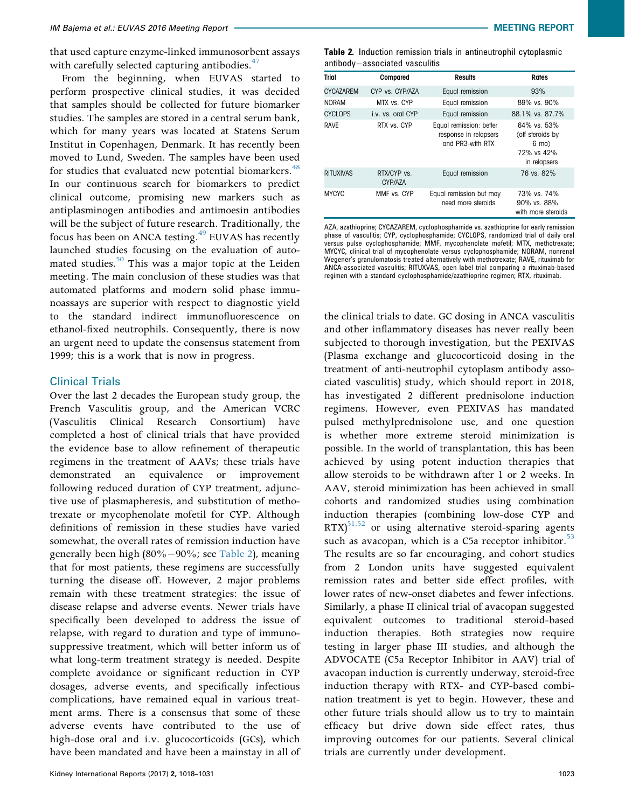that used capture enzyme-linked immunosorbent assays with carefully selected capturing antibodies. $47$ 

From the beginning, when EUVAS started to perform prospective clinical studies, it was decided that samples should be collected for future biomarker studies. The samples are stored in a central serum bank, which for many years was located at Statens Serum Institut in Copenhagen, Denmark. It has recently been moved to Lund, Sweden. The samples have been used for studies that evaluated new potential biomarkers.<sup>48</sup> In our continuous search for biomarkers to predict clinical outcome, promising new markers such as antiplasminogen antibodies and antimoesin antibodies will be the subject of future research. Traditionally, the focus has been on ANCA testing.<sup>49</sup> EUVAS has recently launched studies focusing on the evaluation of auto-mated studies.<sup>[50](#page-12-0)</sup> This was a major topic at the Leiden meeting. The main conclusion of these studies was that automated platforms and modern solid phase immunoassays are superior with respect to diagnostic yield to the standard indirect immunofluorescence on ethanol-fixed neutrophils. Consequently, there is now an urgent need to update the consensus statement from 1999; this is a work that is now in progress.

# Clinical Trials

Over the last 2 decades the European study group, the French Vasculitis group, and the American VCRC (Vasculitis Clinical Research Consortium) have completed a host of clinical trials that have provided the evidence base to allow refinement of therapeutic regimens in the treatment of AAVs; these trials have demonstrated an equivalence or improvement following reduced duration of CYP treatment, adjunctive use of plasmapheresis, and substitution of methotrexate or mycophenolate mofetil for CYP. Although definitions of remission in these studies have varied somewhat, the overall rates of remission induction have generally been high  $(80\% - 90\%;$  see Table 2), meaning that for most patients, these regimens are successfully turning the disease off. However, 2 major problems remain with these treatment strategies: the issue of disease relapse and adverse events. Newer trials have specifically been developed to address the issue of relapse, with regard to duration and type of immunosuppressive treatment, which will better inform us of what long-term treatment strategy is needed. Despite complete avoidance or significant reduction in CYP dosages, adverse events, and specifically infectious complications, have remained equal in various treatment arms. There is a consensus that some of these adverse events have contributed to the use of high-dose oral and i.v. glucocorticoids (GCs), which have been mandated and have been a mainstay in all of

Table 2. Induction remission trials in antineutrophil cytoplasmic antibody-associated vasculitis

| Trial            | Compared               | <b>Results</b>                                                       | Rates                                                                           |
|------------------|------------------------|----------------------------------------------------------------------|---------------------------------------------------------------------------------|
| CYCAZAREM        | CYP vs. CYP/AZA        | Equal remission                                                      | 93%                                                                             |
| <b>NORAM</b>     | MTX vs. CYP            | Equal remission                                                      | 89% vs. 90%                                                                     |
| <b>CYCLOPS</b>   | i.v. vs. oral CYP      | Equal remission                                                      | 88.1% vs. 87.7%                                                                 |
| <b>RAVE</b>      | RTX vs. CYP            | Equal remission: better<br>response in relapsers<br>and PR3-with RTX | 64% vs. 53%<br>(off steroids by<br>$6 \text{ mo}$<br>72% vs 42%<br>in relapsers |
| <b>RITUXIVAS</b> | RTX/CYP vs.<br>CYP/AZA | Equal remission                                                      | 76 vs. 82%                                                                      |
| <b>MYCYC</b>     | MMF vs CYP             | Equal remission but may<br>need more steroids                        | 73% vs. 74%<br>90% vs. 88%<br>with more steroids                                |

AZA, azathioprine; CYCAZAREM, cyclophosphamide vs. azathioprine for early remission phase of vasculitis; CYP, cyclophosphamide; CYCLOPS, randomized trial of daily oral versus pulse cyclophosphamide; MMF, mycophenolate mofetil; MTX, methotrexate; MYCYC, clinical trial of mycophenolate versus cyclophosphamide; NORAM, nonrenal Wegener's granulomatosis treated alternatively with methotrexate; RAVE, rituximab for ANCA-associated vasculitis; RITUXVAS, open label trial comparing a rituximab-based regimen with a standard cyclophosphamide/azathioprine regimen; RTX, rituximab.

the clinical trials to date. GC dosing in ANCA vasculitis and other inflammatory diseases has never really been subjected to thorough investigation, but the PEXIVAS (Plasma exchange and glucocorticoid dosing in the treatment of anti-neutrophil cytoplasm antibody associated vasculitis) study, which should report in 2018, has investigated 2 different prednisolone induction regimens. However, even PEXIVAS has mandated pulsed methylprednisolone use, and one question is whether more extreme steroid minimization is possible. In the world of transplantation, this has been achieved by using potent induction therapies that allow steroids to be withdrawn after 1 or 2 weeks. In AAV, steroid minimization has been achieved in small cohorts and randomized studies using combination induction therapies (combining low-dose CYP and  $RTX)^{51,52}$  or using alternative steroid-sparing agents such as avacopan, which is a C5a receptor inhibitor. $53$ The results are so far encouraging, and cohort studies from 2 London units have suggested equivalent remission rates and better side effect profiles, with lower rates of new-onset diabetes and fewer infections. Similarly, a phase II clinical trial of avacopan suggested equivalent outcomes to traditional steroid-based induction therapies. Both strategies now require testing in larger phase III studies, and although the ADVOCATE (C5a Receptor Inhibitor in AAV) trial of avacopan induction is currently underway, steroid-free induction therapy with RTX- and CYP-based combination treatment is yet to begin. However, these and other future trials should allow us to try to maintain efficacy but drive down side effect rates, thus improving outcomes for our patients. Several clinical trials are currently under development.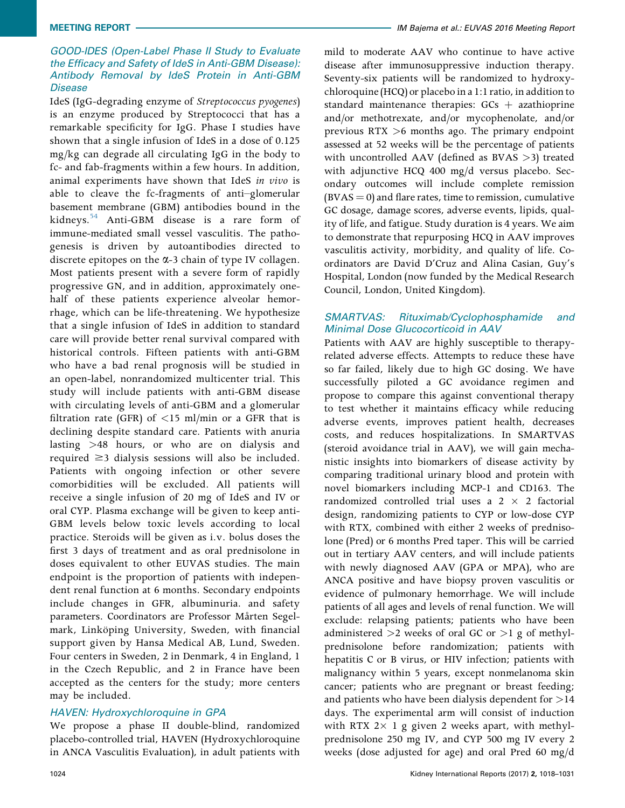## GOOD-IDES (Open-Label Phase II Study to Evaluate the Efficacy and Safety of IdeS in Anti-GBM Disease): Antibody Removal by IdeS Protein in Anti-GBM **Disease**

IdeS (IgG-degrading enzyme of Streptococcus pyogenes) is an enzyme produced by Streptococci that has a remarkable specificity for IgG. Phase I studies have shown that a single infusion of IdeS in a dose of 0.125 mg/kg can degrade all circulating IgG in the body to fc- and fab-fragments within a few hours. In addition, animal experiments have shown that IdeS in vivo is able to cleave the fc-fragments of anti–glomerular basement membrane (GBM) antibodies bound in the kidneys.<sup>[54](#page-12-0)</sup> Anti-GBM disease is a rare form of immune-mediated small vessel vasculitis. The pathogenesis is driven by autoantibodies directed to discrete epitopes on the  $\alpha$ -3 chain of type IV collagen. Most patients present with a severe form of rapidly progressive GN, and in addition, approximately onehalf of these patients experience alveolar hemorrhage, which can be life-threatening. We hypothesize that a single infusion of IdeS in addition to standard care will provide better renal survival compared with historical controls. Fifteen patients with anti-GBM who have a bad renal prognosis will be studied in an open-label, nonrandomized multicenter trial. This study will include patients with anti-GBM disease with circulating levels of anti-GBM and a glomerular filtration rate (GFR) of  $\langle 15 \text{ ml/min or a GFR that is} \rangle$ declining despite standard care. Patients with anuria lasting >48 hours, or who are on dialysis and required  $\geq$ 3 dialysis sessions will also be included. Patients with ongoing infection or other severe comorbidities will be excluded. All patients will receive a single infusion of 20 mg of IdeS and IV or oral CYP. Plasma exchange will be given to keep anti-GBM levels below toxic levels according to local practice. Steroids will be given as i.v. bolus doses the first 3 days of treatment and as oral prednisolone in doses equivalent to other EUVAS studies. The main endpoint is the proportion of patients with independent renal function at 6 months. Secondary endpoints include changes in GFR, albuminuria. and safety parameters. Coordinators are Professor Mårten Segelmark, Linköping University, Sweden, with financial support given by Hansa Medical AB, Lund, Sweden. Four centers in Sweden, 2 in Denmark, 4 in England, 1 in the Czech Republic, and 2 in France have been accepted as the centers for the study; more centers may be included.

## HAVEN: Hydroxychloroquine in GPA

We propose a phase II double-blind, randomized placebo-controlled trial, HAVEN (Hydroxychloroquine in ANCA Vasculitis Evaluation), in adult patients with

mild to moderate AAV who continue to have active disease after immunosuppressive induction therapy. Seventy-six patients will be randomized to hydroxychloroquine (HCQ) or placebo in a 1:1 ratio, in addition to standard maintenance therapies:  $GCs + azathioprine$ and/or methotrexate, and/or mycophenolate, and/or previous RTX >6 months ago. The primary endpoint assessed at 52 weeks will be the percentage of patients with uncontrolled AAV (defined as BVAS >3) treated with adjunctive HCQ 400 mg/d versus placebo. Secondary outcomes will include complete remission  $(BVAS = 0)$  and flare rates, time to remission, cumulative GC dosage, damage scores, adverse events, lipids, quality of life, and fatigue. Study duration is 4 years. We aim to demonstrate that repurposing HCQ in AAV improves vasculitis activity, morbidity, and quality of life. Coordinators are David D'Cruz and Alina Casian, Guy's Hospital, London (now funded by the Medical Research Council, London, United Kingdom).

# SMARTVAS: Rituximab/Cyclophosphamide and Minimal Dose Glucocorticoid in AAV

Patients with AAV are highly susceptible to therapyrelated adverse effects. Attempts to reduce these have so far failed, likely due to high GC dosing. We have successfully piloted a GC avoidance regimen and propose to compare this against conventional therapy to test whether it maintains efficacy while reducing adverse events, improves patient health, decreases costs, and reduces hospitalizations. In SMARTVAS (steroid avoidance trial in AAV), we will gain mechanistic insights into biomarkers of disease activity by comparing traditional urinary blood and protein with novel biomarkers including MCP-1 and CD163. The randomized controlled trial uses a  $2 \times 2$  factorial design, randomizing patients to CYP or low-dose CYP with RTX, combined with either 2 weeks of prednisolone (Pred) or 6 months Pred taper. This will be carried out in tertiary AAV centers, and will include patients with newly diagnosed AAV (GPA or MPA), who are ANCA positive and have biopsy proven vasculitis or evidence of pulmonary hemorrhage. We will include patients of all ages and levels of renal function. We will exclude: relapsing patients; patients who have been administered  $>2$  weeks of oral GC or  $>1$  g of methylprednisolone before randomization; patients with hepatitis C or B virus, or HIV infection; patients with malignancy within 5 years, except nonmelanoma skin cancer; patients who are pregnant or breast feeding; and patients who have been dialysis dependent for  $>14$ days. The experimental arm will consist of induction with RTX  $2 \times 1$  g given 2 weeks apart, with methylprednisolone 250 mg IV, and CYP 500 mg IV every 2 weeks (dose adjusted for age) and oral Pred 60 mg/d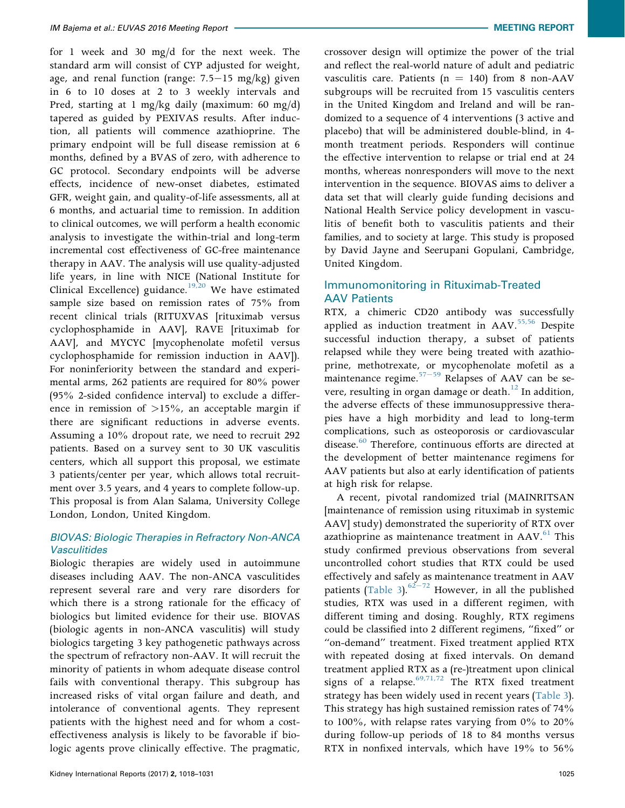for 1 week and 30 mg/d for the next week. The standard arm will consist of CYP adjusted for weight, age, and renal function (range:  $7.5-15$  mg/kg) given in 6 to 10 doses at 2 to 3 weekly intervals and Pred, starting at 1 mg/kg daily (maximum: 60 mg/d) tapered as guided by PEXIVAS results. After induction, all patients will commence azathioprine. The primary endpoint will be full disease remission at 6 months, defined by a BVAS of zero, with adherence to GC protocol. Secondary endpoints will be adverse effects, incidence of new-onset diabetes, estimated GFR, weight gain, and quality-of-life assessments, all at 6 months, and actuarial time to remission. In addition to clinical outcomes, we will perform a health economic analysis to investigate the within-trial and long-term incremental cost effectiveness of GC-free maintenance therapy in AAV. The analysis will use quality-adjusted life years, in line with NICE (National Institute for Clinical Excellence) guidance.<sup>[19,20](#page-11-0)</sup> We have estimated sample size based on remission rates of 75% from recent clinical trials (RITUXVAS [rituximab versus cyclophosphamide in AAV], RAVE [rituximab for AAV], and MYCYC [mycophenolate mofetil versus cyclophosphamide for remission induction in AAV]). For noninferiority between the standard and experimental arms, 262 patients are required for 80% power (95% 2-sided confidence interval) to exclude a difference in remission of  $>15\%$ , an acceptable margin if there are significant reductions in adverse events. Assuming a 10% dropout rate, we need to recruit 292 patients. Based on a survey sent to 30 UK vasculitis centers, which all support this proposal, we estimate 3 patients/center per year, which allows total recruitment over 3.5 years, and 4 years to complete follow-up. This proposal is from Alan Salama, University College London, London, United Kingdom.

# BIOVAS: Biologic Therapies in Refractory Non-ANCA **Vasculitides**

Biologic therapies are widely used in autoimmune diseases including AAV. The non-ANCA vasculitides represent several rare and very rare disorders for which there is a strong rationale for the efficacy of biologics but limited evidence for their use. BIOVAS (biologic agents in non-ANCA vasculitis) will study biologics targeting 3 key pathogenetic pathways across the spectrum of refractory non-AAV. It will recruit the minority of patients in whom adequate disease control fails with conventional therapy. This subgroup has increased risks of vital organ failure and death, and intolerance of conventional agents. They represent patients with the highest need and for whom a costeffectiveness analysis is likely to be favorable if biologic agents prove clinically effective. The pragmatic,

crossover design will optimize the power of the trial and reflect the real-world nature of adult and pediatric vasculitis care. Patients ( $n = 140$ ) from 8 non-AAV subgroups will be recruited from 15 vasculitis centers in the United Kingdom and Ireland and will be randomized to a sequence of 4 interventions (3 active and placebo) that will be administered double-blind, in 4 month treatment periods. Responders will continue the effective intervention to relapse or trial end at 24 months, whereas nonresponders will move to the next intervention in the sequence. BIOVAS aims to deliver a data set that will clearly guide funding decisions and National Health Service policy development in vasculitis of benefit both to vasculitis patients and their families, and to society at large. This study is proposed by David Jayne and Seerupani Gopulani, Cambridge, United Kingdom.

# Immunomonitoring in Rituximab-Treated AAV Patients

RTX, a chimeric CD20 antibody was successfully applied as induction treatment in AAV.<sup>[55,56](#page-12-0)</sup> Despite successful induction therapy, a subset of patients relapsed while they were being treated with azathioprine, methotrexate, or mycophenolate mofetil as a maintenance regime. $57-59$  $57-59$  Relapses of AAV can be severe, resulting in organ damage or death. $12$  In addition, the adverse effects of these immunosuppressive therapies have a high morbidity and lead to long-term complications, such as osteoporosis or cardiovascular disease.<sup>[60](#page-12-0)</sup> Therefore, continuous efforts are directed at the development of better maintenance regimens for AAV patients but also at early identification of patients at high risk for relapse.

A recent, pivotal randomized trial (MAINRITSAN [maintenance of remission using rituximab in systemic AAV] study) demonstrated the superiority of RTX over azathioprine as maintenance treatment in  $AAV$ .<sup>[61](#page-12-0)</sup> This study confirmed previous observations from several uncontrolled cohort studies that RTX could be used effectively and safely as maintenance treatment in AAV patients [\(Table 3\)](#page-8-0).<sup>[62](#page-12-0)-[72](#page-12-0)</sup> However, in all the published studies, RTX was used in a different regimen, with different timing and dosing. Roughly, RTX regimens could be classified into 2 different regimens, "fixed" or "on-demand" treatment. Fixed treatment applied RTX with repeated dosing at fixed intervals. On demand treatment applied RTX as a (re-)treatment upon clinical signs of a relapse.  $69,71,72$  The RTX fixed treatment strategy has been widely used in recent years ([Table 3\)](#page-8-0). This strategy has high sustained remission rates of 74% to 100%, with relapse rates varying from 0% to 20% during follow-up periods of 18 to 84 months versus RTX in nonfixed intervals, which have  $19\%$  to  $56\%$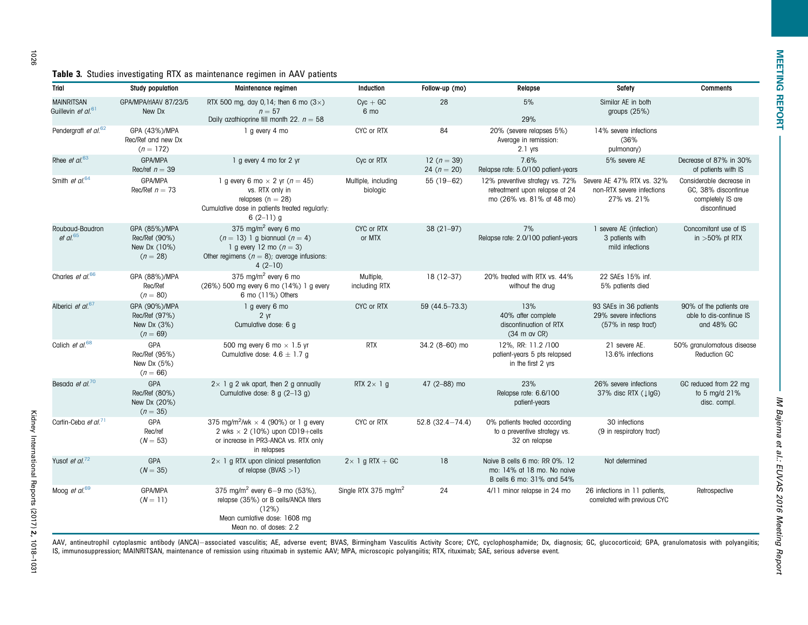#### <span id="page-8-0"></span>**Table 3.** Studies investigating RTX as maintenance regimen in AAV patients

| Trial                                               | <b>Study population</b>                                       | Maintenance regimen                                                                                                                                               | Induction                        | Follow-up (mo)                   | Relapse                                                                                        | Safety                                                                 | <b>Comments</b>                                                                      |
|-----------------------------------------------------|---------------------------------------------------------------|-------------------------------------------------------------------------------------------------------------------------------------------------------------------|----------------------------------|----------------------------------|------------------------------------------------------------------------------------------------|------------------------------------------------------------------------|--------------------------------------------------------------------------------------|
| <b>MAINRITSAN</b><br>Guillevin et al. <sup>61</sup> | GPA/MPA/rIAAV 87/23/5<br>New Dx                               | RTX 500 mg, day 0,14; then 6 mo $(3\times)$<br>$n=57$<br>Daily azathioprine till month 22. $n = 58$                                                               | $Cyc + GC$<br>6 mo               | 28                               | 5%<br>29%                                                                                      | Similar AE in both<br>groups $(25%)$                                   |                                                                                      |
| Pendergraft et al. <sup>62</sup>                    | GPA (43%)/MPA<br>Rec/Ref and new Dx<br>$(n = 172)$            | 1 g every 4 mo                                                                                                                                                    | CYC or RTX                       | 84                               | 20% (severe relapses 5%)<br>Average in remission:<br>$2.1$ yrs                                 | 14% severe infections<br>(36%<br>pulmonary)                            |                                                                                      |
| Rhee et al. <sup>63</sup>                           | <b>GPA/MPA</b><br>Rec/ref $n = 39$                            | 1 g every 4 mo for 2 yr                                                                                                                                           | Cyc or RTX                       | 12 $(n = 39)$<br>24 ( $n = 20$ ) | 7.6%<br>Relapse rate: 5.0/100 patient-years                                                    | 5% severe AE                                                           | Decrease of 87% in 30%<br>of patients with IS                                        |
| Smith et al. <sup>64</sup>                          | <b>GPA/MPA</b><br>Rec/Ref $n = 73$                            | 1 g every 6 mo $\times$ 2 yr ( $n = 45$ )<br>vs. RTX only in<br>relapses ( $n = 28$ )<br>Cumulative dose in patients treated regularly:<br>6 $(2-11)$ g           | Multiple, including<br>biologic  | $55(19-62)$                      | 12% preventive strategy vs. 72%<br>retreatment upon relapse at 24<br>mo (26% vs. 81% at 48 mo) | Severe AE 47% RTX vs. 32%<br>non-RTX severe infections<br>27% vs. 21%  | Considerable decrease in<br>GC, 38% discontinue<br>completely IS are<br>discontinued |
| Roubaud-Baudron<br>$et$ al. $65$                    | GPA (85%)/MPA<br>Rec/Ref (90%)<br>New Dx (10%)<br>$(n = 28)$  | 375 mg/m <sup>2</sup> every 6 mo<br>$(n = 13)$ 1 g biannual $(n = 4)$<br>1 g every 12 mo $(n = 3)$<br>Other regimens ( $n = 8$ ); average infusions:<br>$4(2-10)$ | CYC or RTX<br>or MTX             | $38(21-97)$                      | 7%<br>Relapse rate: 2.0/100 patient-years                                                      | 1 severe AE (infection)<br>3 patients with<br>mild infections          | Concomitant use of IS<br>in $>50\%$ pt RTX                                           |
| Charles et al. <sup>66</sup>                        | GPA (88%)/MPA<br>Rec/Ref<br>$(n = 80)$                        | 375 mg/m <sup>2</sup> every 6 mo<br>(26%) 500 mg every 6 mo (14%) 1 g every<br>6 mo (11%) Others                                                                  | Multiple,<br>including RTX       | $18(12-37)$                      | 20% treated with RTX vs. 44%<br>without the drug                                               | 22 SAEs 15% inf.<br>5% patients died                                   |                                                                                      |
| Alberici et al. <sup>67</sup>                       | GPA (90%)/MPA<br>Rec/Ref (97%)<br>New Dx $(3%)$<br>$(n = 69)$ | 1 g every 6 mo<br>2 <sub>yr</sub><br>Cumulative dose: 6 g                                                                                                         | CYC or RTX                       | 59 (44.5-73.3)                   | 13%<br>40% after complete<br>discontinuation of RTX<br>(34 m av CR)                            | 93 SAEs in 36 patients<br>29% severe infections<br>(57% in resp tract) | 90% of the patients are<br>able to dis-continue IS<br>and 48% GC                     |
| Calich et al. <sup>68</sup>                         | GPA<br>Rec/Ref (95%)<br>New Dx $(5%)$<br>$(n = 66)$           | 500 mg every 6 mo $\times$ 1.5 yr<br>Cumulative dose: $4.6 \pm 1.7$ g                                                                                             | <b>RTX</b>                       | 34.2 (8-60) mo                   | 12%, RR: 11.2 /100<br>patient-years 5 pts relapsed<br>in the first 2 yrs                       | 21 severe AE.<br>13.6% infections                                      | 50% granulomatous disease<br>Reduction GC                                            |
| Besada et al. <sup>70</sup>                         | <b>GPA</b><br>Rec/Ref (80%)<br>New Dx (20%)<br>$(n = 35)$     | $2 \times 1$ g 2 wk apart, then 2 g annually<br>Cumulative dose: $8 g (2-13 g)$                                                                                   | RTX $2 \times 1$ g               | 47 (2-88) mo                     | 23%<br>Relapse rate: 6.6/100<br>patient-years                                                  | 26% severe infections<br>37% disc RTX $(\downarrow$ lgG)               | GC reduced from 22 mg<br>to 5 mg/d 21%<br>disc. compl.                               |
| Cartin-Ceba et al. <sup>71</sup>                    | GPA<br>Rec/ref<br>$(N = 53)$                                  | 375 mg/m <sup>2</sup> /wk $\times$ 4 (90%) or 1 g every<br>2 wks $\times$ 2 (10%) upon CD19+cells<br>or increase in PR3-ANCA vs. RTX only<br>in relapses          | CYC or RTX                       | $52.8(32.4 - 74.4)$              | 0% patients treated according<br>to a preventive strategy vs.<br>32 on relapse                 | 30 infections<br>(9 in respiratory tract)                              |                                                                                      |
| Yusof et $al^{72}$                                  | <b>GPA</b><br>$(N = 35)$                                      | $2 \times 1$ g RTX upon clinical presentation<br>of relapse (BVAS $>1$ )                                                                                          | $2 \times 1$ g RTX + GC          | 18                               | Naive B cells 6 mo: RR 0%. 12<br>mo: 14% at 18 mo. No naive<br>B cells 6 mo: 31% and 54%       | Not determined                                                         |                                                                                      |
| Moog et al. <sup>69</sup>                           | <b>GPA/MPA</b><br>$(N = 11)$                                  | 375 mg/m <sup>2</sup> every 6-9 mo (53%),<br>relapse (35%) or B cells/ANCA titers<br>(12%)<br>Mean cumlative dose: 1608 mg<br>Mean no. of doses: 2.2              | Single RTX 375 mg/m <sup>2</sup> | 24                               | 4/11 minor relapse in 24 mo                                                                    | 26 infections in 11 patients,<br>correlated with previous CYC          | Retrospective                                                                        |

AAV, antineutrophil cytoplasmic antibody (ANCA)-associated vasculitis; AE, adverse event; BVAS, Birmingham Vasculitis Activity Score; CYC, cyclophosphamide; Dx, diagnosis; GC, glucocorticoid; GPA, granulomatosis with polya IS, immunosuppression; MAINRITSAN, maintenance of remission using rituximab in systemic AAV; MPA, microscopic polyangiitis; RTX, rituximab; SAE, serious adverse event.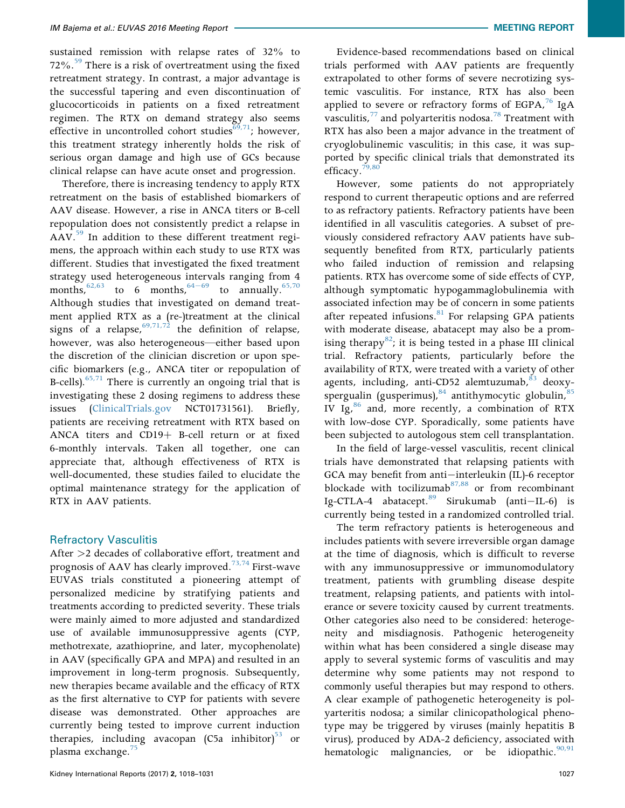sustained remission with relapse rates of 32% to  $72\%$ .<sup>[59](#page-12-0)</sup> There is a risk of overtreatment using the fixed retreatment strategy. In contrast, a major advantage is the successful tapering and even discontinuation of glucocorticoids in patients on a fixed retreatment regimen. The RTX on demand strategy also seems effective in uncontrolled cohort studies $69,71$ ; however, this treatment strategy inherently holds the risk of serious organ damage and high use of GCs because clinical relapse can have acute onset and progression.

Therefore, there is increasing tendency to apply RTX retreatment on the basis of established biomarkers of AAV disease. However, a rise in ANCA titers or B-cell repopulation does not consistently predict a relapse in AAV.<sup>[59](#page-12-0)</sup> In addition to these different treatment regimens, the approach within each study to use RTX was different. Studies that investigated the fixed treatment strategy used heterogeneous intervals ranging from 4 months,  $62,63$  to 6 months,  $64-69$  $64-69$  to annually.  $65,70$ Although studies that investigated on demand treatment applied RTX as a (re-)treatment at the clinical signs of a relapse,  $69,71,72$  the definition of relapse, however, was also heterogeneous—either based upon the discretion of the clinician discretion or upon specific biomarkers (e.g., ANCA titer or repopulation of B-cells). $65,71$  There is currently an ongoing trial that is investigating these 2 dosing regimens to address these issues ([ClinicalTrials.gov](http://ClinicalTrials.gov) NCT01731561). Briefly, patients are receiving retreatment with RTX based on ANCA titers and CD19+ B-cell return or at fixed 6-monthly intervals. Taken all together, one can appreciate that, although effectiveness of RTX is well-documented, these studies failed to elucidate the optimal maintenance strategy for the application of RTX in AAV patients.

#### Refractory Vasculitis

After >2 decades of collaborative effort, treatment and prognosis of AAV has clearly improved.<sup>[73,74](#page-12-0)</sup> First-wave EUVAS trials constituted a pioneering attempt of personalized medicine by stratifying patients and treatments according to predicted severity. These trials were mainly aimed to more adjusted and standardized use of available immunosuppressive agents (CYP, methotrexate, azathioprine, and later, mycophenolate) in AAV (specifically GPA and MPA) and resulted in an improvement in long-term prognosis. Subsequently, new therapies became available and the efficacy of RTX as the first alternative to CYP for patients with severe disease was demonstrated. Other approaches are currently being tested to improve current induction therapies, including avacopan  $(C5a$  inhibitor)<sup>[53](#page-12-0)</sup> or plasma exchange.<sup>75</sup>

Evidence-based recommendations based on clinical trials performed with AAV patients are frequently extrapolated to other forms of severe necrotizing systemic vasculitis. For instance, RTX has also been applied to severe or refractory forms of EGPA, $^{76}$  $^{76}$  $^{76}$  IgA vasculitis, $77$  and polyarteritis nodosa.<sup>78</sup> Treatment with RTX has also been a major advance in the treatment of cryoglobulinemic vasculitis; in this case, it was supported by specific clinical trials that demonstrated its efficacy.<sup>[79,80](#page-12-0)</sup>

However, some patients do not appropriately respond to current therapeutic options and are referred to as refractory patients. Refractory patients have been identified in all vasculitis categories. A subset of previously considered refractory AAV patients have subsequently benefited from RTX, particularly patients who failed induction of remission and relapsing patients. RTX has overcome some of side effects of CYP, although symptomatic hypogammaglobulinemia with associated infection may be of concern in some patients after repeated infusions. $81$  For relapsing GPA patients with moderate disease, abatacept may also be a promising therapy<sup>82</sup>; it is being tested in a phase III clinical trial. Refractory patients, particularly before the availability of RTX, were treated with a variety of other agents, including, anti-CD52 alemtuzumab, <sup>[83](#page-13-0)</sup> deoxyspergualin (gusperimus),  $84$  antithymocytic globulin,  $85$ IV Ig, $^{86}$  $^{86}$  $^{86}$  and, more recently, a combination of RTX with low-dose CYP. Sporadically, some patients have been subjected to autologous stem cell transplantation.

In the field of large-vessel vasculitis, recent clinical trials have demonstrated that relapsing patients with GCA may benefit from anti-interleukin (IL)-6 receptor blockade with tocilizumab<sup>[87,88](#page-13-0)</sup> or from recombinant Ig-CTLA-4 abatacept.<sup>[89](#page-13-0)</sup> Sirukumab (anti-IL-6) is currently being tested in a randomized controlled trial.

The term refractory patients is heterogeneous and includes patients with severe irreversible organ damage at the time of diagnosis, which is difficult to reverse with any immunosuppressive or immunomodulatory treatment, patients with grumbling disease despite treatment, relapsing patients, and patients with intolerance or severe toxicity caused by current treatments. Other categories also need to be considered: heterogeneity and misdiagnosis. Pathogenic heterogeneity within what has been considered a single disease may apply to several systemic forms of vasculitis and may determine why some patients may not respond to commonly useful therapies but may respond to others. A clear example of pathogenetic heterogeneity is polyarteritis nodosa; a similar clinicopathological phenotype may be triggered by viruses (mainly hepatitis B virus), produced by ADA-2 deficiency, associated with hematologic malignancies, or be idiopathic.  $90,91$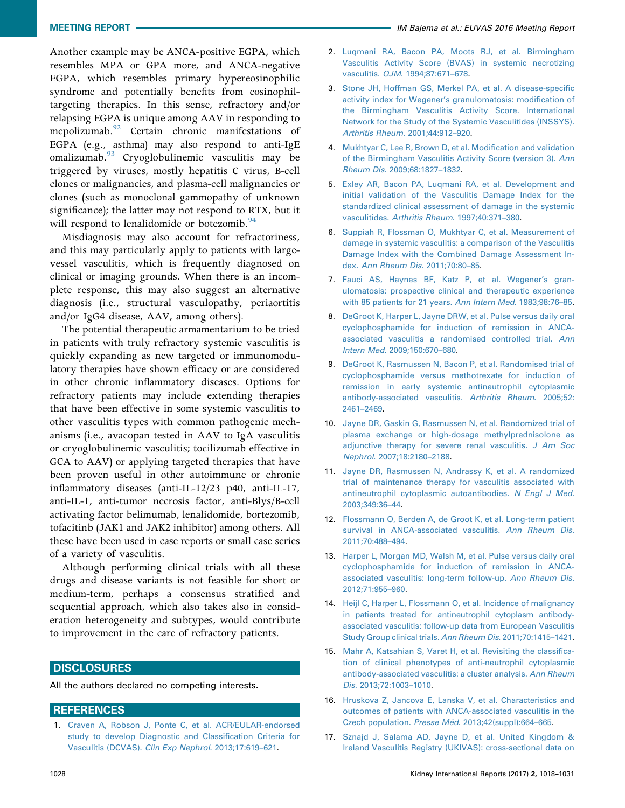<span id="page-10-0"></span>Another example may be ANCA-positive EGPA, which resembles MPA or GPA more, and ANCA-negative EGPA, which resembles primary hypereosinophilic syndrome and potentially benefits from eosinophiltargeting therapies. In this sense, refractory and/or relapsing EGPA is unique among AAV in responding to mepolizumab.<sup>[92](#page-13-0)</sup> Certain chronic manifestations of EGPA (e.g., asthma) may also respond to anti-IgE omalizumab.<sup>[93](#page-13-0)</sup> Cryoglobulinemic vasculitis may be triggered by viruses, mostly hepatitis C virus, B-cell clones or malignancies, and plasma-cell malignancies or clones (such as monoclonal gammopathy of unknown significance); the latter may not respond to RTX, but it will respond to lenalidomide or botezomib.<sup>[94](#page-13-0)</sup>

Misdiagnosis may also account for refractoriness, and this may particularly apply to patients with largevessel vasculitis, which is frequently diagnosed on clinical or imaging grounds. When there is an incomplete response, this may also suggest an alternative diagnosis (i.e., structural vasculopathy, periaortitis and/or IgG4 disease, AAV, among others).

The potential therapeutic armamentarium to be tried in patients with truly refractory systemic vasculitis is quickly expanding as new targeted or immunomodulatory therapies have shown efficacy or are considered in other chronic inflammatory diseases. Options for refractory patients may include extending therapies that have been effective in some systemic vasculitis to other vasculitis types with common pathogenic mechanisms (i.e., avacopan tested in AAV to IgA vasculitis or cryoglobulinemic vasculitis; tocilizumab effective in GCA to AAV) or applying targeted therapies that have been proven useful in other autoimmune or chronic inflammatory diseases (anti-IL-12/23 p40, anti-IL-17, anti-IL-1, anti-tumor necrosis factor, anti-Blys/B-cell activating factor belimumab, lenalidomide, bortezomib, tofacitinb (JAK1 and JAK2 inhibitor) among others. All these have been used in case reports or small case series of a variety of vasculitis.

Although performing clinical trials with all these drugs and disease variants is not feasible for short or medium-term, perhaps a consensus stratified and sequential approach, which also takes also in consideration heterogeneity and subtypes, would contribute to improvement in the care of refractory patients.

# **DISCLOSURES**

All the authors declared no competing interests.

#### **REFERENCES**

1. [Craven A, Robson J, Ponte C, et al. ACR/EULAR-endorsed](http://refhub.elsevier.com/S2468-0249(17)30394-7/sref1) [study to develop Diagnostic and Classi](http://refhub.elsevier.com/S2468-0249(17)30394-7/sref1)fication Criteria for [Vasculitis \(DCVAS\).](http://refhub.elsevier.com/S2468-0249(17)30394-7/sref1) Clin Exp Nephrol. 2013;17:619–621.

- 2. [Luqmani RA, Bacon PA, Moots RJ, et al. Birmingham](http://refhub.elsevier.com/S2468-0249(17)30394-7/sref2) [Vasculitis Activity Score \(BVAS\) in systemic necrotizing](http://refhub.elsevier.com/S2468-0249(17)30394-7/sref2) vasculitis. QJM[. 1994;87:671](http://refhub.elsevier.com/S2468-0249(17)30394-7/sref2)–678.
- 3. [Stone JH, Hoffman GS, Merkel PA, et al. A disease-speci](http://refhub.elsevier.com/S2468-0249(17)30394-7/sref3)fic [activity index for Wegener](http://refhub.elsevier.com/S2468-0249(17)30394-7/sref3)'s granulomatosis: modification of [the Birmingham Vasculitis Activity Score. International](http://refhub.elsevier.com/S2468-0249(17)30394-7/sref3) [Network for the Study of the Systemic Vasculitides \(INSSYS\).](http://refhub.elsevier.com/S2468-0249(17)30394-7/sref3) [Arthritis Rheum](http://refhub.elsevier.com/S2468-0249(17)30394-7/sref3). 2001;44:912–920.
- 4. [Mukhtyar C, Lee R, Brown D, et al. Modi](http://refhub.elsevier.com/S2468-0249(17)30394-7/sref4)fication and validation [of the Birmingham Vasculitis Activity Score \(version 3\).](http://refhub.elsevier.com/S2468-0249(17)30394-7/sref4) Ann Rheum Dis[. 2009;68:1827](http://refhub.elsevier.com/S2468-0249(17)30394-7/sref4)–1832.
- 5. [Exley AR, Bacon PA, Luqmani RA, et al. Development and](http://refhub.elsevier.com/S2468-0249(17)30394-7/sref5) [initial validation of the Vasculitis Damage Index for the](http://refhub.elsevier.com/S2468-0249(17)30394-7/sref5) [standardized clinical assessment of damage in the systemic](http://refhub.elsevier.com/S2468-0249(17)30394-7/sref5) vasculitides. [Arthritis Rheum](http://refhub.elsevier.com/S2468-0249(17)30394-7/sref5). 1997;40:371–380.
- 6. [Suppiah R, Flossman O, Mukhtyar C, et al. Measurement of](http://refhub.elsevier.com/S2468-0249(17)30394-7/sref6) [damage in systemic vasculitis: a comparison of the Vasculitis](http://refhub.elsevier.com/S2468-0249(17)30394-7/sref6) [Damage Index with the Combined Damage Assessment In](http://refhub.elsevier.com/S2468-0249(17)30394-7/sref6)dex. [Ann Rheum Dis](http://refhub.elsevier.com/S2468-0249(17)30394-7/sref6). 2011;70:80–85.
- 7. [Fauci AS, Haynes BF, Katz P, et al. Wegener](http://refhub.elsevier.com/S2468-0249(17)30394-7/sref7)'s gran[ulomatosis: prospective clinical and therapeutic experience](http://refhub.elsevier.com/S2468-0249(17)30394-7/sref7) [with 85 patients for 21 years.](http://refhub.elsevier.com/S2468-0249(17)30394-7/sref7) Ann Intern Med. 1983;98:76–85.
- 8. [DeGroot K, Harper L, Jayne DRW, et al. Pulse versus daily oral](http://refhub.elsevier.com/S2468-0249(17)30394-7/sref8) [cyclophosphamide for induction of remission in ANCA](http://refhub.elsevier.com/S2468-0249(17)30394-7/sref8)[associated vasculitis a randomised controlled trial.](http://refhub.elsevier.com/S2468-0249(17)30394-7/sref8) Ann Intern Med[. 2009;150:670](http://refhub.elsevier.com/S2468-0249(17)30394-7/sref8)–680.
- 9. [DeGroot K, Rasmussen N, Bacon P, et al. Randomised trial of](http://refhub.elsevier.com/S2468-0249(17)30394-7/sref9) [cyclophosphamide versus methotrexate for induction of](http://refhub.elsevier.com/S2468-0249(17)30394-7/sref9) [remission in early systemic antineutrophil cytoplasmic](http://refhub.elsevier.com/S2468-0249(17)30394-7/sref9) [antibody-associated vasculitis.](http://refhub.elsevier.com/S2468-0249(17)30394-7/sref9) Arthritis Rheum. 2005;52: 2461–[2469.](http://refhub.elsevier.com/S2468-0249(17)30394-7/sref9)
- 10. [Jayne DR, Gaskin G, Rasmussen N, et al. Randomized trial of](http://refhub.elsevier.com/S2468-0249(17)30394-7/sref10) [plasma exchange or high-dosage methylprednisolone as](http://refhub.elsevier.com/S2468-0249(17)30394-7/sref10) [adjunctive therapy for severe renal vasculitis.](http://refhub.elsevier.com/S2468-0249(17)30394-7/sref10) J Am Soc Nephrol[. 2007;18:2180](http://refhub.elsevier.com/S2468-0249(17)30394-7/sref10)–2188.
- 11. [Jayne DR, Rasmussen N, Andrassy K, et al. A randomized](http://refhub.elsevier.com/S2468-0249(17)30394-7/sref11) [trial of maintenance therapy for vasculitis associated with](http://refhub.elsevier.com/S2468-0249(17)30394-7/sref11) [antineutrophil cytoplasmic autoantibodies.](http://refhub.elsevier.com/S2468-0249(17)30394-7/sref11) N Engl J Med. [2003;349:36](http://refhub.elsevier.com/S2468-0249(17)30394-7/sref11)–44.
- 12. [Flossmann O, Berden A, de Groot K, et al. Long-term patient](http://refhub.elsevier.com/S2468-0249(17)30394-7/sref12) [survival in ANCA-associated vasculitis.](http://refhub.elsevier.com/S2468-0249(17)30394-7/sref12) Ann Rheum Dis. [2011;70:488](http://refhub.elsevier.com/S2468-0249(17)30394-7/sref12)–494.
- 13. [Harper L, Morgan MD, Walsh M, et al. Pulse versus daily oral](http://refhub.elsevier.com/S2468-0249(17)30394-7/sref13) [cyclophosphamide for induction of remission in ANCA](http://refhub.elsevier.com/S2468-0249(17)30394-7/sref13)[associated vasculitis: long-term follow-up.](http://refhub.elsevier.com/S2468-0249(17)30394-7/sref13) Ann Rheum Dis. [2012;71:955](http://refhub.elsevier.com/S2468-0249(17)30394-7/sref13)–960.
- 14. [Heijl C, Harper L, Flossmann O, et al. Incidence of malignancy](http://refhub.elsevier.com/S2468-0249(17)30394-7/sref14) [in patients treated for antineutrophil cytoplasm antibody](http://refhub.elsevier.com/S2468-0249(17)30394-7/sref14)[associated vasculitis: follow-up data from European Vasculitis](http://refhub.elsevier.com/S2468-0249(17)30394-7/sref14) [Study Group clinical trials.](http://refhub.elsevier.com/S2468-0249(17)30394-7/sref14) Ann Rheum Dis. 2011;70:1415–1421.
- 15. [Mahr A, Katsahian S, Varet H, et al. Revisiting the classi](http://refhub.elsevier.com/S2468-0249(17)30394-7/sref15)fica[tion of clinical phenotypes of anti-neutrophil cytoplasmic](http://refhub.elsevier.com/S2468-0249(17)30394-7/sref15) [antibody-associated vasculitis: a cluster analysis.](http://refhub.elsevier.com/S2468-0249(17)30394-7/sref15) Ann Rheum Dis[. 2013;72:1003](http://refhub.elsevier.com/S2468-0249(17)30394-7/sref15)–1010.
- 16. [Hruskova Z, Jancova E, Lanska V, et al. Characteristics and](http://refhub.elsevier.com/S2468-0249(17)30394-7/sref16) [outcomes of patients with ANCA-associated vasculitis in the](http://refhub.elsevier.com/S2468-0249(17)30394-7/sref16) Czech population. Presse Méd[. 2013;42\(suppl\):664](http://refhub.elsevier.com/S2468-0249(17)30394-7/sref16)–665.
- 17. [Sznajd J, Salama AD, Jayne D, et al. United Kingdom &](http://refhub.elsevier.com/S2468-0249(17)30394-7/sref17) [Ireland Vasculitis Registry \(UKIVAS\): cross-sectional data on](http://refhub.elsevier.com/S2468-0249(17)30394-7/sref17)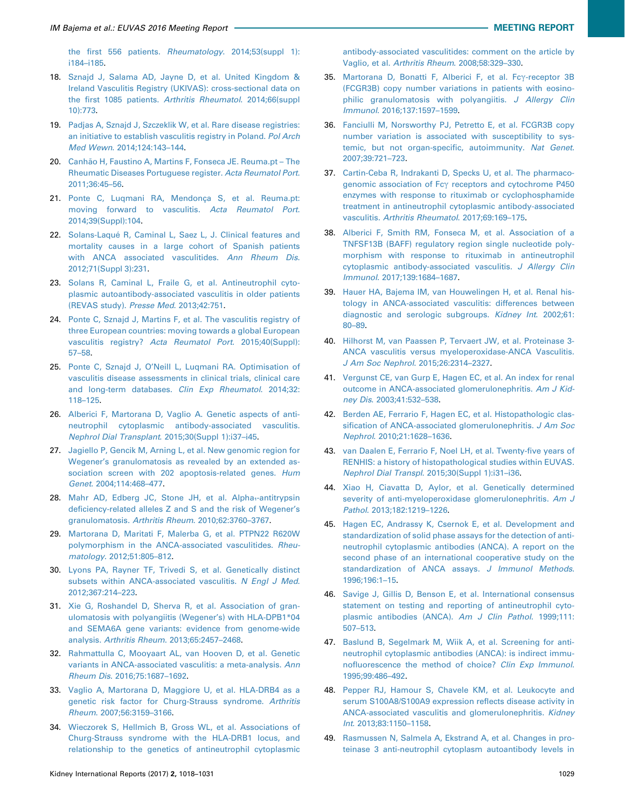<span id="page-11-0"></span>the first 556 patients. Rheumatology[. 2014;53\(suppl 1\):](http://refhub.elsevier.com/S2468-0249(17)30394-7/sref17) i184–[i185.](http://refhub.elsevier.com/S2468-0249(17)30394-7/sref17)

- 18. [Sznajd J, Salama AD, Jayne D, et al. United Kingdom &](http://refhub.elsevier.com/S2468-0249(17)30394-7/sref18) [Ireland Vasculitis Registry \(UKIVAS\): cross-sectional data on](http://refhub.elsevier.com/S2468-0249(17)30394-7/sref18) the first 1085 patients. [Arthritis Rheumatol](http://refhub.elsevier.com/S2468-0249(17)30394-7/sref18). 2014;66(suppl [10\):773.](http://refhub.elsevier.com/S2468-0249(17)30394-7/sref18)
- 19. [Padjas A, Sznajd J, Szczeklik W, et al. Rare disease registries:](http://refhub.elsevier.com/S2468-0249(17)30394-7/sref19) [an initiative to establish vasculitis registry in Poland.](http://refhub.elsevier.com/S2468-0249(17)30394-7/sref19) Pol Arch Med Wewn[. 2014;124:143](http://refhub.elsevier.com/S2468-0249(17)30394-7/sref19)–144.
- 20. [Canhão H, Faustino A, Martins F, Fonseca JE. Reuma.pt](http://refhub.elsevier.com/S2468-0249(17)30394-7/sref20) The [Rheumatic Diseases Portuguese register.](http://refhub.elsevier.com/S2468-0249(17)30394-7/sref20) Acta Reumatol Port. [2011;36:45](http://refhub.elsevier.com/S2468-0249(17)30394-7/sref20)–56.
- 21. [Ponte C, Luqmani RA, Mendonça S, et al. Reuma.pt:](http://refhub.elsevier.com/S2468-0249(17)30394-7/sref21) [moving forward to vasculitis.](http://refhub.elsevier.com/S2468-0249(17)30394-7/sref21) Acta Reumatol Port. [2014;39\(Suppl\):104.](http://refhub.elsevier.com/S2468-0249(17)30394-7/sref21)
- 22. [Solans-Laqué R, Caminal L, Saez L, J. Clinical features and](http://refhub.elsevier.com/S2468-0249(17)30394-7/sref22) [mortality causes in a large cohort of Spanish patients](http://refhub.elsevier.com/S2468-0249(17)30394-7/sref22) [with ANCA associated vasculitides.](http://refhub.elsevier.com/S2468-0249(17)30394-7/sref22) Ann Rheum Dis. [2012;71\(Suppl 3\):231](http://refhub.elsevier.com/S2468-0249(17)30394-7/sref22).
- 23. [Solans R, Caminal L, Fraile G, et al. Antineutrophil cyto](http://refhub.elsevier.com/S2468-0249(17)30394-7/sref23)[plasmic autoantibody-associated vasculitis in older patients](http://refhub.elsevier.com/S2468-0249(17)30394-7/sref23) [\(REVAS study\).](http://refhub.elsevier.com/S2468-0249(17)30394-7/sref23) Presse Med. 2013;42:751.
- 24. [Ponte C, Sznajd J, Martins F, et al. The vasculitis registry of](http://refhub.elsevier.com/S2468-0249(17)30394-7/sref24) [three European countries: moving towards a global European](http://refhub.elsevier.com/S2468-0249(17)30394-7/sref24) vasculitis registry? [Acta Reumatol Port](http://refhub.elsevier.com/S2468-0249(17)30394-7/sref24). 2015;40(Suppl): 57–[58.](http://refhub.elsevier.com/S2468-0249(17)30394-7/sref24)
- 25. Ponte C, Sznajd J, O'[Neill L, Luqmani RA. Optimisation of](http://refhub.elsevier.com/S2468-0249(17)30394-7/sref25) [vasculitis disease assessments in clinical trials, clinical care](http://refhub.elsevier.com/S2468-0249(17)30394-7/sref25) [and long-term databases.](http://refhub.elsevier.com/S2468-0249(17)30394-7/sref25) Clin Exp Rheumatol. 2014;32: [118](http://refhub.elsevier.com/S2468-0249(17)30394-7/sref25)–125.
- 26. [Alberici F, Martorana D, Vaglio A. Genetic aspects of anti](http://refhub.elsevier.com/S2468-0249(17)30394-7/sref26)[neutrophil cytoplasmic antibody-associated vasculitis.](http://refhub.elsevier.com/S2468-0249(17)30394-7/sref26) [Nephrol Dial Transplant](http://refhub.elsevier.com/S2468-0249(17)30394-7/sref26). 2015;30(Suppl 1):i37–i45.
- 27. [Jagiello P, Gencik M, Arning L, et al. New genomic region for](http://refhub.elsevier.com/S2468-0249(17)30394-7/sref27) Wegener'[s granulomatosis as revealed by an extended as](http://refhub.elsevier.com/S2468-0249(17)30394-7/sref27)[sociation screen with 202 apoptosis-related genes.](http://refhub.elsevier.com/S2468-0249(17)30394-7/sref27) Hum Genet[. 2004;114:468](http://refhub.elsevier.com/S2468-0249(17)30394-7/sref27)–477.
- 28. [Mahr AD, Edberg JC, Stone JH, et al. Alpha](http://refhub.elsevier.com/S2468-0249(17)30394-7/sref28)<sub>1</sub>-antitrypsin defi[ciency-related alleles Z and S and the risk of Wegener](http://refhub.elsevier.com/S2468-0249(17)30394-7/sref28)'s [granulomatosis.](http://refhub.elsevier.com/S2468-0249(17)30394-7/sref28) Arthritis Rheum. 2010;62:3760–3767.
- 29. [Martorana D, Maritati F, Malerba G, et al. PTPN22 R620W](http://refhub.elsevier.com/S2468-0249(17)30394-7/sref29) [polymorphism in the ANCA-associated vasculitides.](http://refhub.elsevier.com/S2468-0249(17)30394-7/sref29) Rheumatology[. 2012;51:805](http://refhub.elsevier.com/S2468-0249(17)30394-7/sref29)–812.
- 30. [Lyons PA, Rayner TF, Trivedi S, et al. Genetically distinct](http://refhub.elsevier.com/S2468-0249(17)30394-7/sref30) [subsets within ANCA-associated vasculitis.](http://refhub.elsevier.com/S2468-0249(17)30394-7/sref30) N Engl J Med. [2012;367:214](http://refhub.elsevier.com/S2468-0249(17)30394-7/sref30)–223.
- 31. [Xie G, Roshandel D, Sherva R, et al. Association of gran](http://refhub.elsevier.com/S2468-0249(17)30394-7/sref31)[ulomatosis with polyangiitis \(Wegener](http://refhub.elsevier.com/S2468-0249(17)30394-7/sref31)'s) with HLA-DPB1\*04 [and SEMA6A gene variants: evidence from genome-wide](http://refhub.elsevier.com/S2468-0249(17)30394-7/sref31) analysis. [Arthritis Rheum](http://refhub.elsevier.com/S2468-0249(17)30394-7/sref31). 2013;65:2457–2468.
- 32. [Rahmattulla C, Mooyaart AL, van Hooven D, et al. Genetic](http://refhub.elsevier.com/S2468-0249(17)30394-7/sref32) [variants in ANCA-associated vasculitis: a meta-analysis.](http://refhub.elsevier.com/S2468-0249(17)30394-7/sref32) Ann Rheum Dis[. 2016;75:1687](http://refhub.elsevier.com/S2468-0249(17)30394-7/sref32)–1692.
- 33. [Vaglio A, Martorana D, Maggiore U, et al. HLA-DRB4 as a](http://refhub.elsevier.com/S2468-0249(17)30394-7/sref33) [genetic risk factor for Churg-Strauss syndrome.](http://refhub.elsevier.com/S2468-0249(17)30394-7/sref33) Arthritis Rheum[. 2007;56:3159](http://refhub.elsevier.com/S2468-0249(17)30394-7/sref33)–3166.
- 34. [Wieczorek S, Hellmich B, Gross WL, et al. Associations of](http://refhub.elsevier.com/S2468-0249(17)30394-7/sref34) [Churg-Strauss syndrome with the HLA-DRB1 locus, and](http://refhub.elsevier.com/S2468-0249(17)30394-7/sref34) [relationship to the genetics of antineutrophil cytoplasmic](http://refhub.elsevier.com/S2468-0249(17)30394-7/sref34)

[antibody-associated vasculitides: comment on the article by](http://refhub.elsevier.com/S2468-0249(17)30394-7/sref34) Vaglio, et al. [Arthritis Rheum](http://refhub.elsevier.com/S2468-0249(17)30394-7/sref34). 2008;58:329–330.

- 35. [Martorana D, Bonatti F, Alberici F, et al. Fc](http://refhub.elsevier.com/S2468-0249(17)30394-7/sref35)y-receptor 3B [\(FCGR3B\) copy number variations in patients with eosino](http://refhub.elsevier.com/S2468-0249(17)30394-7/sref35)[philic granulomatosis with polyangiitis.](http://refhub.elsevier.com/S2468-0249(17)30394-7/sref35) J Allergy Clin Immunol[. 2016;137:1597](http://refhub.elsevier.com/S2468-0249(17)30394-7/sref35)–1599.
- 36. [Fanciulli M, Norsworthy PJ, Petretto E, et al. FCGR3B copy](http://refhub.elsevier.com/S2468-0249(17)30394-7/sref36) [number variation is associated with susceptibility to sys](http://refhub.elsevier.com/S2468-0249(17)30394-7/sref36)[temic, but not organ-speci](http://refhub.elsevier.com/S2468-0249(17)30394-7/sref36)fic, autoimmunity. Nat Genet. [2007;39:721](http://refhub.elsevier.com/S2468-0249(17)30394-7/sref36)–723.
- 37. [Cartin-Ceba R, Indrakanti D, Specks U, et al. The pharmaco](http://refhub.elsevier.com/S2468-0249(17)30394-7/sref37)genomic association of Fcy [receptors and cytochrome P450](http://refhub.elsevier.com/S2468-0249(17)30394-7/sref37) [enzymes with response to rituximab or cyclophosphamide](http://refhub.elsevier.com/S2468-0249(17)30394-7/sref37) [treatment in antineutrophil cytoplasmic antibody-associated](http://refhub.elsevier.com/S2468-0249(17)30394-7/sref37) vasculitis. [Arthritis Rheumatol](http://refhub.elsevier.com/S2468-0249(17)30394-7/sref37). 2017;69:169–175.
- 38. [Alberici F, Smith RM, Fonseca M, et al. Association of a](http://refhub.elsevier.com/S2468-0249(17)30394-7/sref38) [TNFSF13B \(BAFF\) regulatory region single nucleotide poly](http://refhub.elsevier.com/S2468-0249(17)30394-7/sref38)[morphism with response to rituximab in antineutrophil](http://refhub.elsevier.com/S2468-0249(17)30394-7/sref38) [cytoplasmic antibody-associated vasculitis.](http://refhub.elsevier.com/S2468-0249(17)30394-7/sref38) J Allergy Clin Immunol[. 2017;139:1684](http://refhub.elsevier.com/S2468-0249(17)30394-7/sref38)–1687.
- 39. [Hauer HA, Bajema IM, van Houwelingen H, et al. Renal his](http://refhub.elsevier.com/S2468-0249(17)30394-7/sref39)[tology in ANCA-associated vasculitis: differences between](http://refhub.elsevier.com/S2468-0249(17)30394-7/sref39) [diagnostic and serologic subgroups.](http://refhub.elsevier.com/S2468-0249(17)30394-7/sref39) Kidney Int. 2002;61: 80–[89.](http://refhub.elsevier.com/S2468-0249(17)30394-7/sref39)
- 40. [Hilhorst M, van Paassen P, Tervaert JW, et al. Proteinase 3-](http://refhub.elsevier.com/S2468-0249(17)30394-7/sref40) [ANCA vasculitis versus myeloperoxidase-ANCA Vasculitis.](http://refhub.elsevier.com/S2468-0249(17)30394-7/sref40) [J Am Soc Nephrol](http://refhub.elsevier.com/S2468-0249(17)30394-7/sref40). 2015;26:2314–2327.
- 41. [Vergunst CE, van Gurp E, Hagen EC, et al. An index for renal](http://refhub.elsevier.com/S2468-0249(17)30394-7/sref41) [outcome in ANCA-associated glomerulonephritis.](http://refhub.elsevier.com/S2468-0249(17)30394-7/sref41) Am J Kidney Dis[. 2003;41:532](http://refhub.elsevier.com/S2468-0249(17)30394-7/sref41)–538.
- 42. [Berden AE, Ferrario F, Hagen EC, et al. Histopathologic clas](http://refhub.elsevier.com/S2468-0249(17)30394-7/sref42)sifi[cation of ANCA-associated glomerulonephritis.](http://refhub.elsevier.com/S2468-0249(17)30394-7/sref42) J Am Soc Nephrol[. 2010;21:1628](http://refhub.elsevier.com/S2468-0249(17)30394-7/sref42)–1636.
- 43. [van Daalen E, Ferrario F, Noel LH, et al. Twenty-](http://refhub.elsevier.com/S2468-0249(17)30394-7/sref43)five years of [RENHIS: a history of histopathological studies within EUVAS.](http://refhub.elsevier.com/S2468-0249(17)30394-7/sref43) Nephrol Dial Transpl[. 2015;30\(Suppl 1\):i31](http://refhub.elsevier.com/S2468-0249(17)30394-7/sref43)–i36.
- 44. [Xiao H, Ciavatta D, Aylor, et al. Genetically determined](http://refhub.elsevier.com/S2468-0249(17)30394-7/sref44) [severity of anti-myeloperoxidase glomerulonephritis.](http://refhub.elsevier.com/S2468-0249(17)30394-7/sref44) Am J Pathol[. 2013;182:1219](http://refhub.elsevier.com/S2468-0249(17)30394-7/sref44)–1226.
- 45. [Hagen EC, Andrassy K, Csernok E, et al. Development and](http://refhub.elsevier.com/S2468-0249(17)30394-7/sref45) [standardization of solid phase assays for the detection of anti](http://refhub.elsevier.com/S2468-0249(17)30394-7/sref45)[neutrophil cytoplasmic antibodies \(ANCA\). A report on the](http://refhub.elsevier.com/S2468-0249(17)30394-7/sref45) [second phase of an international cooperative study on the](http://refhub.elsevier.com/S2468-0249(17)30394-7/sref45) [standardization of ANCA assays.](http://refhub.elsevier.com/S2468-0249(17)30394-7/sref45) J Immunol Methods. [1996;196:1](http://refhub.elsevier.com/S2468-0249(17)30394-7/sref45)–15.
- 46. [Savige J, Gillis D, Benson E, et al. International consensus](http://refhub.elsevier.com/S2468-0249(17)30394-7/sref46) [statement on testing and reporting of antineutrophil cyto](http://refhub.elsevier.com/S2468-0249(17)30394-7/sref46)[plasmic antibodies \(ANCA\).](http://refhub.elsevier.com/S2468-0249(17)30394-7/sref46) Am J Clin Pathol. 1999;111: [507](http://refhub.elsevier.com/S2468-0249(17)30394-7/sref46)–513.
- 47. [Baslund B, Segelmark M, Wiik A, et al. Screening for anti](http://refhub.elsevier.com/S2468-0249(17)30394-7/sref47)[neutrophil cytoplasmic antibodies \(ANCA\): is indirect immu](http://refhub.elsevier.com/S2468-0249(17)30394-7/sref47)nofl[uorescence the method of choice?](http://refhub.elsevier.com/S2468-0249(17)30394-7/sref47) Clin Exp Immunol. [1995;99:486](http://refhub.elsevier.com/S2468-0249(17)30394-7/sref47)–492.
- 48. [Pepper RJ, Hamour S, Chavele KM, et al. Leukocyte and](http://refhub.elsevier.com/S2468-0249(17)30394-7/sref48) [serum S100A8/S100A9 expression re](http://refhub.elsevier.com/S2468-0249(17)30394-7/sref48)flects disease activity in [ANCA-associated vasculitis and glomerulonephritis.](http://refhub.elsevier.com/S2468-0249(17)30394-7/sref48) Kidney Int[. 2013;83:1150](http://refhub.elsevier.com/S2468-0249(17)30394-7/sref48)–1158.
- 49. [Rasmussen N, Salmela A, Ekstrand A, et al. Changes in pro](http://refhub.elsevier.com/S2468-0249(17)30394-7/sref49)[teinase 3 anti-neutrophil cytoplasm autoantibody levels in](http://refhub.elsevier.com/S2468-0249(17)30394-7/sref49)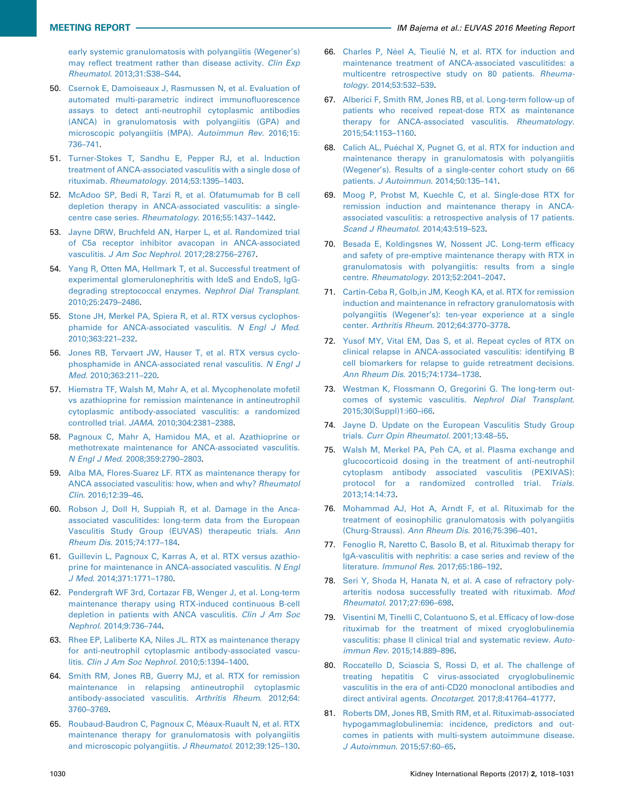<span id="page-12-0"></span>[early systemic granulomatosis with polyangiitis \(Wegener](http://refhub.elsevier.com/S2468-0249(17)30394-7/sref49)'s) may refl[ect treatment rather than disease activity.](http://refhub.elsevier.com/S2468-0249(17)30394-7/sref49) Clin Exp Rheumatol[. 2013;31:S38](http://refhub.elsevier.com/S2468-0249(17)30394-7/sref49)–S44.

- 50. [Csernok E, Damoiseaux J, Rasmussen N, et al. Evaluation of](http://refhub.elsevier.com/S2468-0249(17)30394-7/sref50) [automated multi-parametric indirect immuno](http://refhub.elsevier.com/S2468-0249(17)30394-7/sref50)fluorescence [assays to detect anti-neutrophil cytoplasmic antibodies](http://refhub.elsevier.com/S2468-0249(17)30394-7/sref50) [\(ANCA\) in granulomatosis with polyangiitis \(GPA\) and](http://refhub.elsevier.com/S2468-0249(17)30394-7/sref50) [microscopic polyangiitis \(MPA\).](http://refhub.elsevier.com/S2468-0249(17)30394-7/sref50) Autoimmun Rev. 2016;15: [736](http://refhub.elsevier.com/S2468-0249(17)30394-7/sref50)–741.
- 51. [Turner-Stokes T, Sandhu E, Pepper RJ, et al. Induction](http://refhub.elsevier.com/S2468-0249(17)30394-7/sref51) [treatment of ANCA-associated vasculitis with a single dose of](http://refhub.elsevier.com/S2468-0249(17)30394-7/sref51) rituximab. [Rheumatology](http://refhub.elsevier.com/S2468-0249(17)30394-7/sref51). 2014;53:1395–1403.
- 52. [McAdoo SP, Bedi R, Tarzi R, et al. Ofatumumab for B cell](http://refhub.elsevier.com/S2468-0249(17)30394-7/sref52) [depletion therapy in ANCA-associated vasculitis: a single](http://refhub.elsevier.com/S2468-0249(17)30394-7/sref52)[centre case series.](http://refhub.elsevier.com/S2468-0249(17)30394-7/sref52) Rheumatology. 2016;55:1437–1442.
- 53. [Jayne DRW, Bruchfeld AN, Harper L, et al. Randomized trial](http://refhub.elsevier.com/S2468-0249(17)30394-7/sref53) [of C5a receptor inhibitor avacopan in ANCA-associated](http://refhub.elsevier.com/S2468-0249(17)30394-7/sref53) vasculitis. [J Am Soc Nephrol](http://refhub.elsevier.com/S2468-0249(17)30394-7/sref53). 2017;28:2756–2767.
- 54. [Yang R, Otten MA, Hellmark T, et al. Successful treatment of](http://refhub.elsevier.com/S2468-0249(17)30394-7/sref54) [experimental glomerulonephritis with IdeS and EndoS, IgG](http://refhub.elsevier.com/S2468-0249(17)30394-7/sref54)[degrading streptococcal enzymes.](http://refhub.elsevier.com/S2468-0249(17)30394-7/sref54) Nephrol Dial Transplant. [2010;25:2479](http://refhub.elsevier.com/S2468-0249(17)30394-7/sref54)–2486.
- 55. [Stone JH, Merkel PA, Spiera R, et al. RTX versus cyclophos](http://refhub.elsevier.com/S2468-0249(17)30394-7/sref55)[phamide for ANCA-associated vasculitis.](http://refhub.elsevier.com/S2468-0249(17)30394-7/sref55) N Engl J Med. [2010;363:221](http://refhub.elsevier.com/S2468-0249(17)30394-7/sref55)–232.
- 56. [Jones RB, Tervaert JW, Hauser T, et al. RTX versus cyclo](http://refhub.elsevier.com/S2468-0249(17)30394-7/sref56)[phosphamide in ANCA-associated renal vasculitis.](http://refhub.elsevier.com/S2468-0249(17)30394-7/sref56) N Engl J Med[. 2010;363:211](http://refhub.elsevier.com/S2468-0249(17)30394-7/sref56)–220.
- 57. [Hiemstra TF, Walsh M, Mahr A, et al. Mycophenolate mofetil](http://refhub.elsevier.com/S2468-0249(17)30394-7/sref57) [vs azathioprine for remission maintenance in antineutrophil](http://refhub.elsevier.com/S2468-0249(17)30394-7/sref57) [cytoplasmic antibody-associated vasculitis: a randomized](http://refhub.elsevier.com/S2468-0249(17)30394-7/sref57) controlled trial. JAMA[. 2010;304:2381](http://refhub.elsevier.com/S2468-0249(17)30394-7/sref57)–2388.
- 58. [Pagnoux C, Mahr A, Hamidou MA, et al. Azathioprine or](http://refhub.elsevier.com/S2468-0249(17)30394-7/sref58) [methotrexate maintenance for ANCA-associated vasculitis.](http://refhub.elsevier.com/S2468-0249(17)30394-7/sref58) N Engl J Med[. 2008;359:2790](http://refhub.elsevier.com/S2468-0249(17)30394-7/sref58)–2803.
- 59. [Alba MA, Flores-Suarez LF. RTX as maintenance therapy for](http://refhub.elsevier.com/S2468-0249(17)30394-7/sref59) [ANCA associated vasculitis: how, when and why?](http://refhub.elsevier.com/S2468-0249(17)30394-7/sref59) Rheumatol Clin[. 2016;12:39](http://refhub.elsevier.com/S2468-0249(17)30394-7/sref59)–46.
- 60. [Robson J, Doll H, Suppiah R, et al. Damage in the Anca](http://refhub.elsevier.com/S2468-0249(17)30394-7/sref60)[associated vasculitides: long-term data from the European](http://refhub.elsevier.com/S2468-0249(17)30394-7/sref60) [Vasculitis Study Group \(EUVAS\) therapeutic trials.](http://refhub.elsevier.com/S2468-0249(17)30394-7/sref60) Ann Rheum Dis[. 2015;74:177](http://refhub.elsevier.com/S2468-0249(17)30394-7/sref60)–184.
- 61. [Guillevin L, Pagnoux C, Karras A, et al. RTX versus azathio](http://refhub.elsevier.com/S2468-0249(17)30394-7/sref61)[prine for maintenance in ANCA-associated vasculitis.](http://refhub.elsevier.com/S2468-0249(17)30394-7/sref61) N Engl J Med[. 2014;371:1771](http://refhub.elsevier.com/S2468-0249(17)30394-7/sref61)–1780.
- 62. [Pendergraft WF 3rd, Cortazar FB, Wenger J, et al. Long-term](http://refhub.elsevier.com/S2468-0249(17)30394-7/sref62) [maintenance therapy using RTX-induced continuous B-cell](http://refhub.elsevier.com/S2468-0249(17)30394-7/sref62) [depletion in patients with ANCA vasculitis.](http://refhub.elsevier.com/S2468-0249(17)30394-7/sref62) Clin J Am Soc Nephrol[. 2014;9:736](http://refhub.elsevier.com/S2468-0249(17)30394-7/sref62)–744.
- 63. [Rhee EP, Laliberte KA, Niles JL. RTX as maintenance therapy](http://refhub.elsevier.com/S2468-0249(17)30394-7/sref63) [for anti-neutrophil cytoplasmic antibody-associated vascu](http://refhub.elsevier.com/S2468-0249(17)30394-7/sref63)litis. [Clin J Am Soc Nephrol](http://refhub.elsevier.com/S2468-0249(17)30394-7/sref63). 2010;5:1394–1400.
- 64. [Smith RM, Jones RB, Guerry MJ, et al. RTX for remission](http://refhub.elsevier.com/S2468-0249(17)30394-7/sref64) [maintenance in relapsing antineutrophil cytoplasmic](http://refhub.elsevier.com/S2468-0249(17)30394-7/sref64) [antibody-associated vasculitis.](http://refhub.elsevier.com/S2468-0249(17)30394-7/sref64) Arthritis Rheum. 2012;64: [3760](http://refhub.elsevier.com/S2468-0249(17)30394-7/sref64)–3769.
- 65. [Roubaud-Baudron C, Pagnoux C, Méaux-Ruault N, et al. RTX](http://refhub.elsevier.com/S2468-0249(17)30394-7/sref65) [maintenance therapy for granulomatosis with polyangiitis](http://refhub.elsevier.com/S2468-0249(17)30394-7/sref65) [and microscopic polyangiitis.](http://refhub.elsevier.com/S2468-0249(17)30394-7/sref65) J Rheumatol. 2012;39:125–130.
- 66. [Charles P, Néel A, Tieulié N, et al. RTX for induction and](http://refhub.elsevier.com/S2468-0249(17)30394-7/sref66) [maintenance treatment of ANCA-associated vasculitides: a](http://refhub.elsevier.com/S2468-0249(17)30394-7/sref66) [multicentre retrospective study on 80 patients.](http://refhub.elsevier.com/S2468-0249(17)30394-7/sref66) Rheumatology[. 2014;53:532](http://refhub.elsevier.com/S2468-0249(17)30394-7/sref66)–539.
- 67. [Alberici F, Smith RM, Jones RB, et al. Long-term follow-up of](http://refhub.elsevier.com/S2468-0249(17)30394-7/sref67) [patients who received repeat-dose RTX as maintenance](http://refhub.elsevier.com/S2468-0249(17)30394-7/sref67) [therapy for ANCA-associated vasculitis.](http://refhub.elsevier.com/S2468-0249(17)30394-7/sref67) Rheumatology. [2015;54:1153](http://refhub.elsevier.com/S2468-0249(17)30394-7/sref67)–1160.
- 68. [Calich AL, Puéchal X, Pugnet G, et al. RTX for induction and](http://refhub.elsevier.com/S2468-0249(17)30394-7/sref68) [maintenance therapy in granulomatosis with polyangiitis](http://refhub.elsevier.com/S2468-0249(17)30394-7/sref68) (Wegener'[s\). Results of a single-center cohort study on 66](http://refhub.elsevier.com/S2468-0249(17)30394-7/sref68) patients. [J Autoimmun](http://refhub.elsevier.com/S2468-0249(17)30394-7/sref68). 2014;50:135–141.
- 69. [Moog P, Probst M, Kuechle C, et al. Single-dose RTX for](http://refhub.elsevier.com/S2468-0249(17)30394-7/sref69) [remission induction and maintenance therapy in ANCA](http://refhub.elsevier.com/S2468-0249(17)30394-7/sref69)[associated vasculitis: a retrospective analysis of 17 patients.](http://refhub.elsevier.com/S2468-0249(17)30394-7/sref69) [Scand J Rheumatol](http://refhub.elsevier.com/S2468-0249(17)30394-7/sref69). 2014;43:519–523.
- 70. [Besada E, Koldingsnes W, Nossent JC. Long-term ef](http://refhub.elsevier.com/S2468-0249(17)30394-7/sref70)ficacy [and safety of pre-emptive maintenance therapy with RTX in](http://refhub.elsevier.com/S2468-0249(17)30394-7/sref70) [granulomatosis with polyangiitis: results from a single](http://refhub.elsevier.com/S2468-0249(17)30394-7/sref70) centre. [Rheumatology](http://refhub.elsevier.com/S2468-0249(17)30394-7/sref70). 2013;52:2041–2047.
- 71. [Cartin-Ceba R, Golb,in JM, Keogh KA, et al. RTX for remission](http://refhub.elsevier.com/S2468-0249(17)30394-7/sref71) [induction and maintenance in refractory granulomatosis with](http://refhub.elsevier.com/S2468-0249(17)30394-7/sref71) polyangiitis (Wegener'[s\): ten-year experience at a single](http://refhub.elsevier.com/S2468-0249(17)30394-7/sref71) center. [Arthritis Rheum](http://refhub.elsevier.com/S2468-0249(17)30394-7/sref71). 2012;64:3770–3778.
- 72. [Yusof MY, Vital EM, Das S, et al. Repeat cycles of RTX on](http://refhub.elsevier.com/S2468-0249(17)30394-7/sref72) [clinical relapse in ANCA-associated vasculitis: identifying B](http://refhub.elsevier.com/S2468-0249(17)30394-7/sref72) [cell biomarkers for relapse to guide retreatment decisions.](http://refhub.elsevier.com/S2468-0249(17)30394-7/sref72) [Ann Rheum Dis](http://refhub.elsevier.com/S2468-0249(17)30394-7/sref72). 2015;74:1734–1738.
- 73. [Westman K, Flossmann O, Gregorini G. The long-term out](http://refhub.elsevier.com/S2468-0249(17)30394-7/sref73)[comes of systemic vasculitis.](http://refhub.elsevier.com/S2468-0249(17)30394-7/sref73) Nephrol Dial Transplant. [2015;30\(Suppl\)1:i60](http://refhub.elsevier.com/S2468-0249(17)30394-7/sref73)–i66.
- 74. [Jayne D. Update on the European Vasculitis Study Group](http://refhub.elsevier.com/S2468-0249(17)30394-7/sref74) trials. [Curr Opin Rheumatol](http://refhub.elsevier.com/S2468-0249(17)30394-7/sref74). 2001;13:48–55.
- 75. [Walsh M, Merkel PA, Peh CA, et al. Plasma exchange and](http://refhub.elsevier.com/S2468-0249(17)30394-7/sref75) [glucocorticoid dosing in the treatment of anti-neutrophil](http://refhub.elsevier.com/S2468-0249(17)30394-7/sref75) [cytoplasm antibody associated vasculitis \(PEXIVAS\):](http://refhub.elsevier.com/S2468-0249(17)30394-7/sref75) [protocol for a randomized controlled trial.](http://refhub.elsevier.com/S2468-0249(17)30394-7/sref75) Trials. [2013;14:14:73](http://refhub.elsevier.com/S2468-0249(17)30394-7/sref75).
- 76. [Mohammad AJ, Hot A, Arndt F, et al. Rituximab for the](http://refhub.elsevier.com/S2468-0249(17)30394-7/sref76) [treatment of eosinophilic granulomatosis with polyangiitis](http://refhub.elsevier.com/S2468-0249(17)30394-7/sref76) [\(Churg-Strauss\).](http://refhub.elsevier.com/S2468-0249(17)30394-7/sref76) Ann Rheum Dis. 2016;75:396–401.
- 77. [Fenoglio R, Naretto C, Basolo B, et al. Rituximab therapy for](http://refhub.elsevier.com/S2468-0249(17)30394-7/sref77) [IgA-vasculitis with nephritis: a case series and review of the](http://refhub.elsevier.com/S2468-0249(17)30394-7/sref77) literature. [Immunol Res](http://refhub.elsevier.com/S2468-0249(17)30394-7/sref77). 2017;65:186–192.
- 78. [Seri Y, Shoda H, Hanata N, et al. A case of refractory poly](http://refhub.elsevier.com/S2468-0249(17)30394-7/sref78)[arteritis nodosa successfully treated with rituximab.](http://refhub.elsevier.com/S2468-0249(17)30394-7/sref78) Mod Rheumatol[. 2017;27:696](http://refhub.elsevier.com/S2468-0249(17)30394-7/sref78)–698.
- 79. [Visentini M, Tinelli C, Colantuono S, et al. Ef](http://refhub.elsevier.com/S2468-0249(17)30394-7/sref79)ficacy of low-dose [rituximab for the treatment of mixed cryoglobulinemia](http://refhub.elsevier.com/S2468-0249(17)30394-7/sref79) [vasculitis: phase II clinical trial and systematic review.](http://refhub.elsevier.com/S2468-0249(17)30394-7/sref79) Autoimmun Rev[. 2015;14:889](http://refhub.elsevier.com/S2468-0249(17)30394-7/sref79)–896.
- 80. [Roccatello D, Sciascia S, Rossi D, et al. The challenge of](http://refhub.elsevier.com/S2468-0249(17)30394-7/sref80) [treating hepatitis C virus-associated cryoglobulinemic](http://refhub.elsevier.com/S2468-0249(17)30394-7/sref80) [vasculitis in the era of anti-CD20 monoclonal antibodies and](http://refhub.elsevier.com/S2468-0249(17)30394-7/sref80) [direct antiviral agents.](http://refhub.elsevier.com/S2468-0249(17)30394-7/sref80) Oncotarget. 2017;8:41764–41777.
- 81. [Roberts DM, Jones RB, Smith RM, et al. Rituximab-associated](http://refhub.elsevier.com/S2468-0249(17)30394-7/sref81) [hypogammaglobulinemia: incidence, predictors and out](http://refhub.elsevier.com/S2468-0249(17)30394-7/sref81)[comes in patients with multi-system autoimmune disease.](http://refhub.elsevier.com/S2468-0249(17)30394-7/sref81) [J Autoimmun](http://refhub.elsevier.com/S2468-0249(17)30394-7/sref81). 2015;57:60–65.